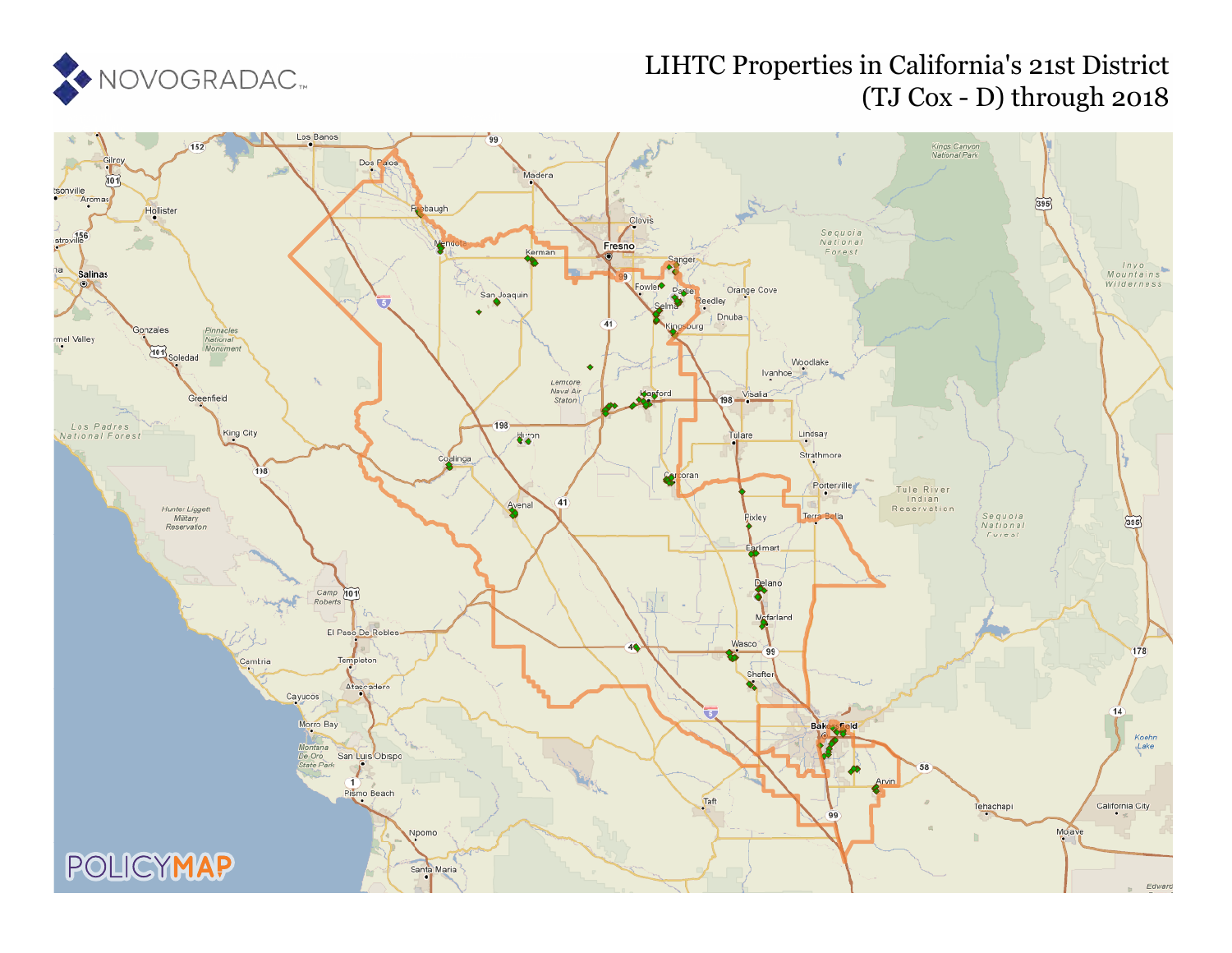

## LIHTC Properties in California's 21st District (TJ Cox - D) through 2018

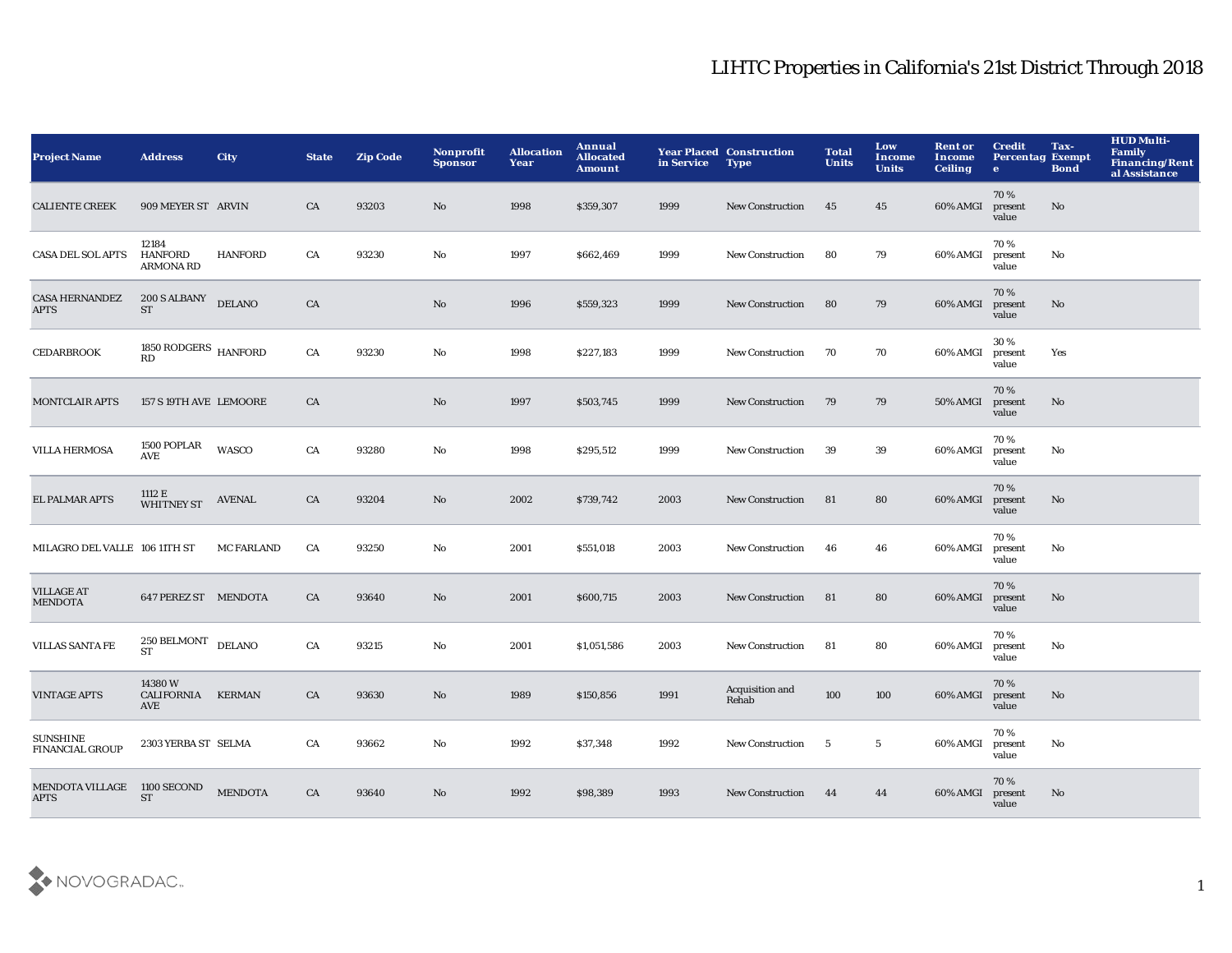| <b>Project Name</b>                       | <b>Address</b>                              | City              | <b>State</b> | <b>Zip Code</b> | <b>Nonprofit</b><br><b>Sponsor</b> | <b>Allocation</b><br>Year | Annual<br><b>Allocated</b><br><b>Amount</b> | in Service | <b>Year Placed Construction</b><br><b>Type</b> | <b>Total</b><br><b>Units</b> | Low<br>Income<br><b>Units</b> | <b>Rent or</b><br>Income<br><b>Ceiling</b> | <b>Credit</b><br><b>Percentag Exempt</b><br>$\mathbf{e}$ | Tax-<br><b>Bond</b> | <b>HUD Multi-</b><br><b>Family</b><br><b>Financing/Rent</b><br>al Assistance |
|-------------------------------------------|---------------------------------------------|-------------------|--------------|-----------------|------------------------------------|---------------------------|---------------------------------------------|------------|------------------------------------------------|------------------------------|-------------------------------|--------------------------------------------|----------------------------------------------------------|---------------------|------------------------------------------------------------------------------|
| <b>CALIENTE CREEK</b>                     | 909 MEYER ST ARVIN                          |                   | CA           | 93203           | No                                 | 1998                      | \$359,307                                   | 1999       | <b>New Construction</b>                        | 45                           | 45                            | 60% AMGI                                   | 70%<br>present<br>value                                  | No                  |                                                                              |
| CASA DEL SOL APTS                         | 12184<br><b>HANFORD</b><br><b>ARMONA RD</b> | <b>HANFORD</b>    | ${\rm CA}$   | 93230           | No                                 | 1997                      | \$662,469                                   | 1999       | <b>New Construction</b>                        | 80                           | 79                            | 60% AMGI                                   | 70%<br>present<br>value                                  | No                  |                                                                              |
| <b>CASA HERNANDEZ</b><br><b>APTS</b>      | <b>200 S ALBANY</b><br><b>ST</b>            | <b>DELANO</b>     | CA           |                 | No                                 | 1996                      | \$559,323                                   | 1999       | <b>New Construction</b>                        | 80                           | 79                            | 60% AMGI                                   | 70%<br>present<br>value                                  | No                  |                                                                              |
| <b>CEDARBROOK</b>                         | $1850 \, \mbox{RODGERS} \,$ HANFORD<br>RD   |                   | CA           | 93230           | No                                 | 1998                      | \$227,183                                   | 1999       | <b>New Construction</b>                        | 70                           | 70                            | 60% AMGI                                   | 30%<br>present<br>value                                  | Yes                 |                                                                              |
| <b>MONTCLAIR APTS</b>                     | 157 S 19TH AVE LEMOORE                      |                   | CA           |                 | No                                 | 1997                      | \$503,745                                   | 1999       | <b>New Construction</b>                        | 79                           | 79                            | <b>50% AMGI</b>                            | 70%<br>present<br>value                                  | No                  |                                                                              |
| <b>VILLA HERMOSA</b>                      | 1500 POPLAR<br>AVE                          | WASCO             | CA           | 93280           | No                                 | 1998                      | \$295,512                                   | 1999       | New Construction                               | 39                           | 39                            | 60% AMGI                                   | 70%<br>present<br>value                                  | No                  |                                                                              |
| EL PALMAR APTS                            | 1112 E<br><b>WHITNEY ST</b>                 | <b>AVENAL</b>     | CA           | 93204           | No                                 | 2002                      | \$739,742                                   | 2003       | <b>New Construction</b>                        | 81                           | 80                            | 60% AMGI                                   | 70%<br>present<br>value                                  | No                  |                                                                              |
| MILAGRO DEL VALLE 106 11TH ST             |                                             | <b>MC FARLAND</b> | CA           | 93250           | No                                 | 2001                      | \$551,018                                   | 2003       | <b>New Construction</b>                        | 46                           | 46                            | 60% AMGI                                   | 70%<br>present<br>value                                  | No                  |                                                                              |
| <b>VILLAGE AT</b><br><b>MENDOTA</b>       | 647 PEREZ ST MENDOTA                        |                   | CA           | 93640           | No                                 | 2001                      | \$600,715                                   | 2003       | <b>New Construction</b>                        | 81                           | 80                            | 60% AMGI                                   | 70%<br>present<br>value                                  | No                  |                                                                              |
| <b>VILLAS SANTA FE</b>                    | <b>250 BELMONT</b><br><b>ST</b>             | <b>DELANO</b>     | CA           | 93215           | $\mathbf{N}\mathbf{o}$             | 2001                      | \$1,051,586                                 | 2003       | <b>New Construction</b>                        | 81                           | 80                            | 60% AMGI                                   | 70%<br>present<br>value                                  | No                  |                                                                              |
| <b>VINTAGE APTS</b>                       | 14380W<br>CALIFORNIA KERMAN<br>AVE          |                   | CA           | 93630           | No                                 | 1989                      | \$150,856                                   | 1991       | Acquisition and<br>Rehab                       | 100                          | 100                           | 60% AMGI                                   | 70%<br>present<br>value                                  | No                  |                                                                              |
| <b>SUNSHINE</b><br><b>FINANCIAL GROUP</b> | 2303 YERBA ST SELMA                         |                   | CA           | 93662           | No                                 | 1992                      | \$37,348                                    | 1992       | <b>New Construction</b>                        | 5                            | $5\phantom{.0}$               | 60% AMGI                                   | 70%<br>present<br>value                                  | No                  |                                                                              |
| <b>MENDOTA VILLAGE</b><br><b>APTS</b>     | 1100 SECOND<br><b>ST</b>                    | <b>MENDOTA</b>    | CA           | 93640           | N <sub>o</sub>                     | 1992                      | \$98,389                                    | 1993       | <b>New Construction</b>                        | 44                           | 44                            | 60% AMGI                                   | 70%<br>present<br>value                                  | No                  |                                                                              |

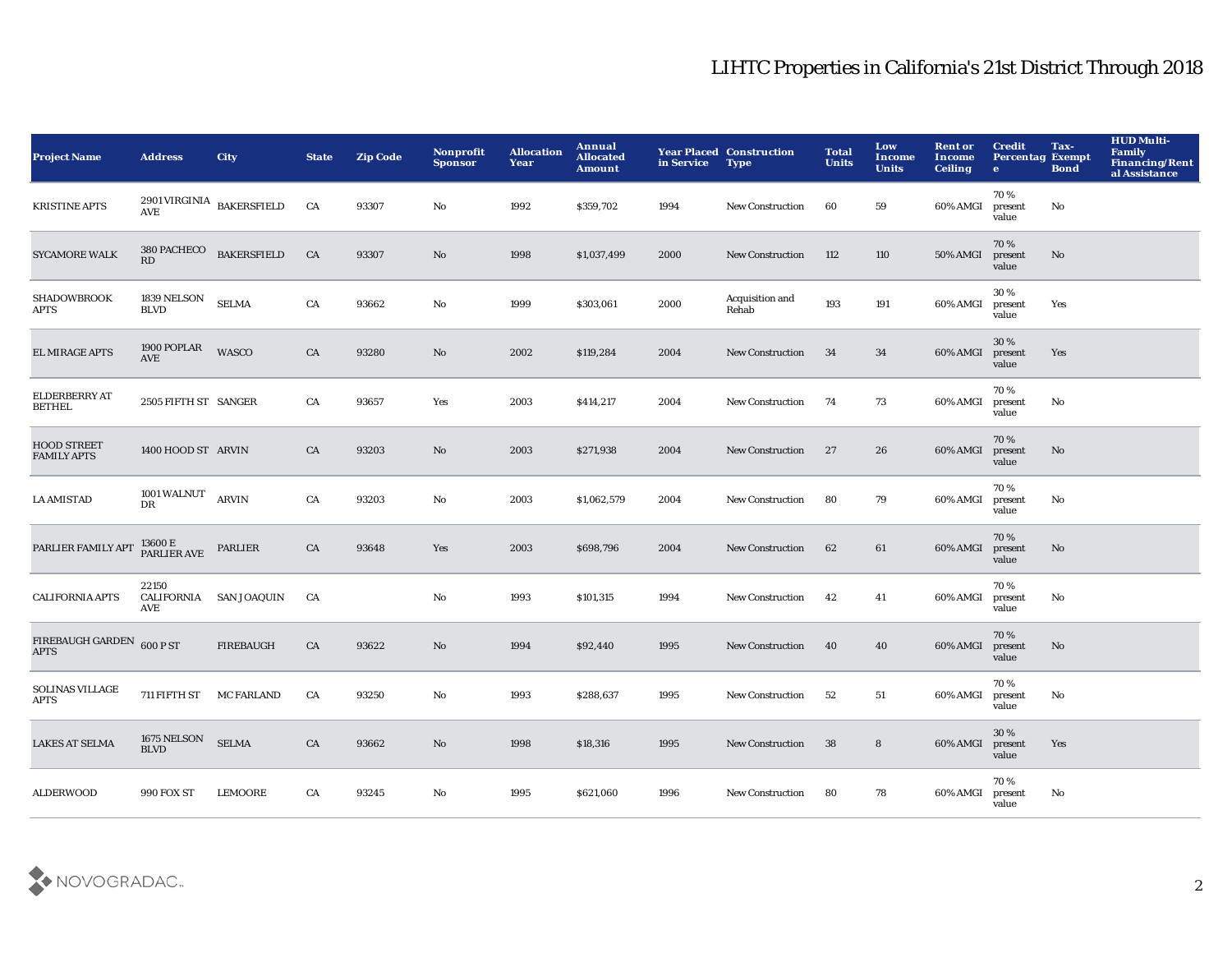| <b>Project Name</b>                      | <b>Address</b>                    | <b>City</b>               | <b>State</b> | <b>Zip Code</b> | Nonprofit<br><b>Sponsor</b> | <b>Allocation</b><br>Year | Annual<br><b>Allocated</b><br><b>Amount</b> | in Service | <b>Year Placed Construction</b><br><b>Type</b> | <b>Total</b><br><b>Units</b> | Low<br><b>Income</b><br><b>Units</b> | <b>Rent or</b><br><b>Income</b><br><b>Ceiling</b> | <b>Credit</b><br><b>Percentag Exempt</b><br>$\bullet$ | Tax-<br><b>Bond</b> | <b>HUD Multi-</b><br>Family<br><b>Financing/Rent</b><br>al Assistance |
|------------------------------------------|-----------------------------------|---------------------------|--------------|-----------------|-----------------------------|---------------------------|---------------------------------------------|------------|------------------------------------------------|------------------------------|--------------------------------------|---------------------------------------------------|-------------------------------------------------------|---------------------|-----------------------------------------------------------------------|
| <b>KRISTINE APTS</b>                     | <b>AVE</b>                        | 2901 VIRGINIA BAKERSFIELD | CA           | 93307           | No                          | 1992                      | \$359,702                                   | 1994       | <b>New Construction</b>                        | 60                           | 59                                   | 60% AMGI                                          | 70%<br>present<br>value                               | No                  |                                                                       |
| <b>SYCAMORE WALK</b>                     | 380 PACHECO<br>RD                 | <b>BAKERSFIELD</b>        | CA           | 93307           | $\mathbf{N}\mathbf{o}$      | 1998                      | \$1,037,499                                 | 2000       | <b>New Construction</b>                        | 112                          | 110                                  | <b>50% AMGI</b>                                   | 70%<br>present<br>value                               | No                  |                                                                       |
| <b>SHADOWBROOK</b><br><b>APTS</b>        | 1839 NELSON<br><b>BLVD</b>        | <b>SELMA</b>              | ${\rm CA}$   | 93662           | No                          | 1999                      | \$303,061                                   | 2000       | Acquisition and<br>Rehab                       | 193                          | 191                                  | 60% AMGI                                          | 30%<br>present<br>value                               | Yes                 |                                                                       |
| EL MIRAGE APTS                           | 1900 POPLAR<br><b>AVE</b>         | WASCO                     | CA           | 93280           | No                          | 2002                      | \$119,284                                   | 2004       | <b>New Construction</b>                        | 34                           | 34                                   | 60% AMGI                                          | 30 %<br>present<br>value                              | Yes                 |                                                                       |
| <b>ELDERBERRY AT</b><br>BETHEL           | 2505 FIFTH ST SANGER              |                           | CA           | 93657           | Yes                         | 2003                      | \$414,217                                   | 2004       | <b>New Construction</b>                        | 74                           | 73                                   | 60% AMGI                                          | 70%<br>present<br>value                               | No                  |                                                                       |
| <b>HOOD STREET</b><br><b>FAMILY APTS</b> | 1400 HOOD ST ARVIN                |                           | CA           | 93203           | No                          | 2003                      | \$271,938                                   | 2004       | <b>New Construction</b>                        | 27                           | 26                                   | 60% AMGI                                          | 70%<br>present<br>value                               | No                  |                                                                       |
| <b>LA AMISTAD</b>                        | <b>1001 WALNUT</b><br>DR          | <b>ARVIN</b>              | CA           | 93203           | No                          | 2003                      | \$1,062,579                                 | 2004       | New Construction                               | 80                           | 79                                   | 60% AMGI                                          | 70%<br>present<br>value                               | No                  |                                                                       |
| PARLIER FAMILY APT                       | 13600 E<br>PARLIER AVE            | PARLIER                   | CA           | 93648           | Yes                         | 2003                      | \$698,796                                   | 2004       | <b>New Construction</b>                        | 62                           | 61                                   | 60% AMGI                                          | 70%<br>present<br>value                               | No                  |                                                                       |
| <b>CALIFORNIA APTS</b>                   | 22150<br><b>CALIFORNIA</b><br>AVE | <b>SAN JOAQUIN</b>        | CA           |                 | No                          | 1993                      | \$101,315                                   | 1994       | <b>New Construction</b>                        | 42                           | 41                                   | 60% AMGI                                          | 70%<br>present<br>value                               | No                  |                                                                       |
| FIREBAUGH GARDEN<br><b>APTS</b>          | 600 P ST                          | <b>FIREBAUGH</b>          | CA           | 93622           | No                          | 1994                      | \$92,440                                    | 1995       | <b>New Construction</b>                        | 40                           | 40                                   | 60% AMGI                                          | 70%<br>present<br>value                               | No                  |                                                                       |
| <b>SOLINAS VILLAGE</b><br><b>APTS</b>    | 711 FIFTH ST                      | <b>MC FARLAND</b>         | CA           | 93250           | No                          | 1993                      | \$288,637                                   | 1995       | <b>New Construction</b>                        | 52                           | 51                                   | 60% AMGI                                          | 70%<br>present<br>value                               | No                  |                                                                       |
| <b>LAKES AT SELMA</b>                    | 1675 NELSON<br><b>BLVD</b>        | <b>SELMA</b>              | CA           | 93662           | No                          | 1998                      | \$18,316                                    | 1995       | <b>New Construction</b>                        | 38                           | 8                                    | 60% AMGI                                          | 30%<br>present<br>value                               | Yes                 |                                                                       |
| <b>ALDERWOOD</b>                         | <b>990 FOX ST</b>                 | <b>LEMOORE</b>            | CA           | 93245           | No                          | 1995                      | \$621,060                                   | 1996       | <b>New Construction</b>                        | 80                           | 78                                   | 60% AMGI                                          | 70%<br>present<br>value                               | No                  |                                                                       |

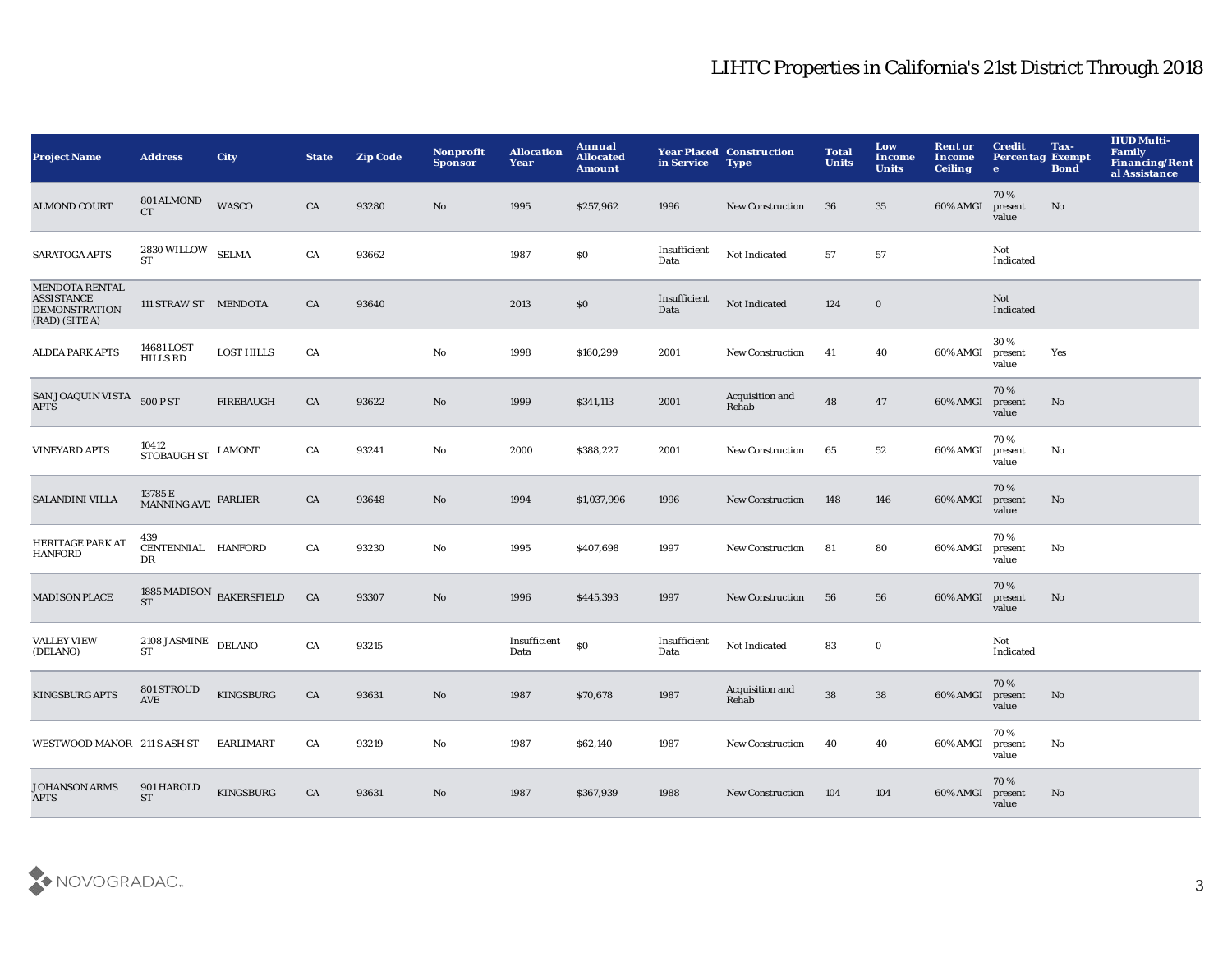| <b>Project Name</b>                                                                  | <b>Address</b>                                       | City              | <b>State</b> | <b>Zip Code</b> | Nonprofit<br><b>Sponsor</b> | <b>Allocation</b><br>Year | Annual<br><b>Allocated</b><br>Amount | in Service           | <b>Year Placed Construction</b><br><b>Type</b> | <b>Total</b><br><b>Units</b> | Low<br><b>Income</b><br><b>Units</b> | <b>Rent or</b><br>Income<br><b>Ceiling</b> | <b>Credit</b><br><b>Percentag Exempt</b><br>$\bullet$ | Tax-<br><b>Bond</b> | <b>HUD Multi-</b><br><b>Family</b><br><b>Financing/Rent</b><br>al Assistance |
|--------------------------------------------------------------------------------------|------------------------------------------------------|-------------------|--------------|-----------------|-----------------------------|---------------------------|--------------------------------------|----------------------|------------------------------------------------|------------------------------|--------------------------------------|--------------------------------------------|-------------------------------------------------------|---------------------|------------------------------------------------------------------------------|
| <b>ALMOND COURT</b>                                                                  | 801 ALMOND<br><b>CT</b>                              | <b>WASCO</b>      | CA           | 93280           | No                          | 1995                      | \$257,962                            | 1996                 | <b>New Construction</b>                        | 36                           | 35                                   | 60% AMGI                                   | 70%<br>present<br>value                               | No                  |                                                                              |
| SARATOGA APTS                                                                        | $2830\,\rm WILLOW$ $\,$ SELMA<br><b>ST</b>           |                   | CA           | 93662           |                             | 1987                      | \$0                                  | Insufficient<br>Data | Not Indicated                                  | 57                           | 57                                   |                                            | Not<br>Indicated                                      |                     |                                                                              |
| <b>MENDOTA RENTAL</b><br><b>ASSISTANCE</b><br><b>DEMONSTRATION</b><br>(RAD) (SITE A) | 111 STRAW ST MENDOTA                                 |                   | CA           | 93640           |                             | 2013                      | \$0                                  | Insufficient<br>Data | Not Indicated                                  | 124                          | $\mathbf 0$                          |                                            | Not<br>Indicated                                      |                     |                                                                              |
| <b>ALDEA PARK APTS</b>                                                               | 14681 LOST<br><b>HILLS RD</b>                        | <b>LOST HILLS</b> | CA           |                 | $\mathbf{No}$               | 1998                      | \$160,299                            | 2001                 | New Construction                               | 41                           | 40                                   | 60% AMGI                                   | 30%<br>present<br>value                               | Yes                 |                                                                              |
| SAN JOAQUIN VISTA<br><b>APTS</b>                                                     | 500 P ST                                             | <b>FIREBAUGH</b>  | CA           | 93622           | No                          | 1999                      | \$341,113                            | 2001                 | Acquisition and<br>Rehab                       | 48                           | 47                                   | 60% AMGI                                   | 70%<br>present<br>value                               | No                  |                                                                              |
| <b>VINEYARD APTS</b>                                                                 | 10412<br>STOBAUGH ST                                 | <b>LAMONT</b>     | CA           | 93241           | No                          | 2000                      | \$388,227                            | 2001                 | <b>New Construction</b>                        | 65                           | 52                                   | 60% AMGI                                   | 70%<br>present<br>value                               | No                  |                                                                              |
| SALANDINI VILLA                                                                      | $13785\,\mathrm{E}$ PARLIER MANNING AVE $\,$ PARLIER |                   | CA           | 93648           | No                          | 1994                      | \$1,037,996                          | 1996                 | New Construction                               | 148                          | 146                                  | 60% AMGI                                   | 70%<br>present<br>value                               | No                  |                                                                              |
| <b>HERITAGE PARK AT</b><br><b>HANFORD</b>                                            | 439<br>CENTENNIAL HANFORD<br>DR                      |                   | CA           | 93230           | No                          | 1995                      | \$407,698                            | 1997                 | New Construction                               | 81                           | 80                                   | 60% AMGI                                   | 70%<br>present<br>value                               | No                  |                                                                              |
| <b>MADISON PLACE</b>                                                                 | 1885 MADISON BAKERSFIELD<br><b>ST</b>                |                   | CA           | 93307           | No                          | 1996                      | \$445,393                            | 1997                 | <b>New Construction</b>                        | 56                           | 56                                   | 60% AMGI                                   | 70%<br>present<br>value                               | No                  |                                                                              |
| <b>VALLEY VIEW</b><br>(DELANO)                                                       | $2108$ JASMINE $\,$ DELANO $\,$<br><b>ST</b>         |                   | ${\rm CA}$   | 93215           |                             | Insufficient<br>Data      | $\$0$                                | Insufficient<br>Data | Not Indicated                                  | 83                           | $\mathbf 0$                          |                                            | Not<br>Indicated                                      |                     |                                                                              |
| <b>KINGSBURG APTS</b>                                                                | 801 STROUD<br>AVE                                    | <b>KINGSBURG</b>  | CA           | 93631           | No                          | 1987                      | \$70,678                             | 1987                 | Acquisition and<br>Rehab                       | 38                           | 38                                   | 60% AMGI                                   | 70%<br>present<br>value                               | No                  |                                                                              |
| WESTWOOD MANOR 211 S ASH ST                                                          |                                                      | <b>EARLIMART</b>  | CA           | 93219           | No                          | 1987                      | \$62,140                             | 1987                 | <b>New Construction</b>                        | 40                           | 40                                   | 60% AMGI                                   | 70%<br>present<br>value                               | No                  |                                                                              |
| <b>JOHANSON ARMS</b><br><b>APTS</b>                                                  | 901 HAROLD<br><b>ST</b>                              | <b>KINGSBURG</b>  | CA           | 93631           | No                          | 1987                      | \$367,939                            | 1988                 | <b>New Construction</b>                        | 104                          | 104                                  | 60% AMGI                                   | 70%<br>present<br>value                               | No                  |                                                                              |

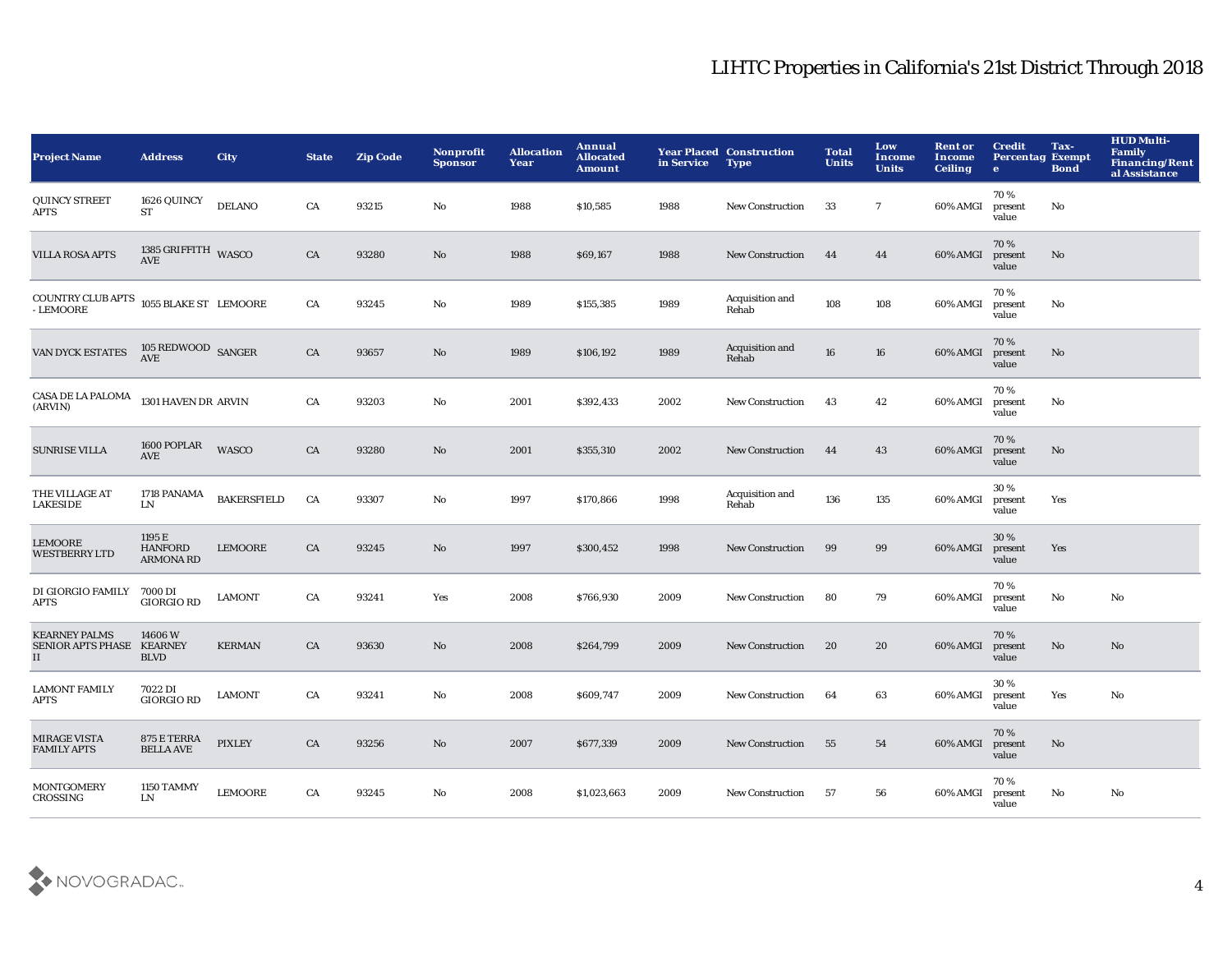| <b>Project Name</b>                                    | <b>Address</b>                               | <b>City</b>        | <b>State</b> | <b>Zip Code</b> | <b>Nonprofit</b><br><b>Sponsor</b> | <b>Allocation</b><br>Year | Annual<br><b>Allocated</b><br><b>Amount</b> | in Service | <b>Year Placed Construction</b><br><b>Type</b> | <b>Total</b><br><b>Units</b> | Low<br><b>Income</b><br><b>Units</b> | <b>Rent or</b><br><b>Income</b><br><b>Ceiling</b> | <b>Credit</b><br><b>Percentag Exempt</b><br>$\bullet$ | Tax-<br><b>Bond</b> | <b>HUD Multi-</b><br><b>Family</b><br><b>Financing/Rent</b><br>al Assistance |
|--------------------------------------------------------|----------------------------------------------|--------------------|--------------|-----------------|------------------------------------|---------------------------|---------------------------------------------|------------|------------------------------------------------|------------------------------|--------------------------------------|---------------------------------------------------|-------------------------------------------------------|---------------------|------------------------------------------------------------------------------|
| <b>QUINCY STREET</b><br>APTS                           | 1626 QUINCY<br><b>ST</b>                     | <b>DELANO</b>      | CA           | 93215           | No                                 | 1988                      | \$10,585                                    | 1988       | <b>New Construction</b>                        | 33                           | $\overline{7}$                       | 60% AMGI                                          | 70%<br>present<br>value                               | No                  |                                                                              |
| <b>VILLA ROSA APTS</b>                                 | 1385 GRIFFITH WASCO<br><b>AVE</b>            |                    | CA           | 93280           | No                                 | 1988                      | \$69,167                                    | 1988       | <b>New Construction</b>                        | 44                           | 44                                   | 60% AMGI                                          | 70%<br>present<br>value                               | No                  |                                                                              |
| <b>COUNTRY CLUB APTS<br/>- LEMOORE</b>                 | 1055 BLAKE ST LEMOORE                        |                    | CA           | 93245           | No                                 | 1989                      | \$155,385                                   | 1989       | Acquisition and<br>Rehab                       | 108                          | 108                                  | 60% AMGI                                          | 70%<br>present<br>value                               | No                  |                                                                              |
| VAN DYCK ESTATES                                       | 105 REDWOOD SANGER<br><b>AVE</b>             |                    | CA           | 93657           | No                                 | 1989                      | \$106,192                                   | 1989       | Acquisition and<br>Rehab                       | 16                           | 16                                   | 60% AMGI                                          | 70%<br>present<br>value                               | No                  |                                                                              |
| CASA DE LA PALOMA<br>(ARVIN)                           | 1301 HAVEN DR ARVIN                          |                    | CA           | 93203           | No                                 | 2001                      | \$392,433                                   | 2002       | <b>New Construction</b>                        | 43                           | 42                                   | 60% AMGI                                          | 70%<br>present<br>value                               | No                  |                                                                              |
| <b>SUNRISE VILLA</b>                                   | 1600 POPLAR<br>AVE                           | <b>WASCO</b>       | CA           | 93280           | No                                 | 2001                      | \$355,310                                   | 2002       | <b>New Construction</b>                        | 44                           | 43                                   | 60% AMGI                                          | 70%<br>present<br>value                               | No                  |                                                                              |
| THE VILLAGE AT<br><b>LAKESIDE</b>                      | 1718 PANAMA<br>LN                            | <b>BAKERSFIELD</b> | CA           | 93307           | No                                 | 1997                      | \$170,866                                   | 1998       | Acquisition and<br>Rehab                       | 136                          | 135                                  | 60% AMGI                                          | 30%<br>present<br>value                               | Yes                 |                                                                              |
| LEMOORE<br><b>WESTBERRY LTD</b>                        | 1195 E<br><b>HANFORD</b><br><b>ARMONA RD</b> | <b>LEMOORE</b>     | CA           | 93245           | No                                 | 1997                      | \$300,452                                   | 1998       | <b>New Construction</b>                        | 99                           | 99                                   | 60% AMGI                                          | 30%<br>present<br>value                               | Yes                 |                                                                              |
| DI GIORGIO FAMILY<br>APTS                              | 7000 DI<br><b>GIORGIO RD</b>                 | <b>LAMONT</b>      | CA           | 93241           | Yes                                | 2008                      | \$766,930                                   | 2009       | <b>New Construction</b>                        | 80                           | 79                                   | 60% AMGI                                          | 70%<br>present<br>value                               | No                  | No                                                                           |
| <b>KEARNEY PALMS</b><br>SENIOR APTS PHASE KEARNEY<br>П | 14606W<br><b>BLVD</b>                        | <b>KERMAN</b>      | ${\rm CA}$   | 93630           | No                                 | 2008                      | \$264,799                                   | 2009       | <b>New Construction</b>                        | 20                           | 20                                   | 60% AMGI                                          | 70%<br>present<br>value                               | No                  | No                                                                           |
| <b>LAMONT FAMILY</b><br>APTS                           | 7022 DI<br><b>GIORGIO RD</b>                 | <b>LAMONT</b>      | CA           | 93241           | No                                 | 2008                      | \$609,747                                   | 2009       | <b>New Construction</b>                        | 64                           | 63                                   | 60% AMGI                                          | 30%<br>present<br>value                               | Yes                 | No                                                                           |
| <b>MIRAGE VISTA</b><br><b>FAMILY APTS</b>              | 875 E TERRA<br><b>BELLA AVE</b>              | <b>PIXLEY</b>      | CA           | 93256           | No                                 | 2007                      | \$677,339                                   | 2009       | <b>New Construction</b>                        | 55                           | 54                                   | 60% AMGI                                          | 70%<br>present<br>value                               | No                  |                                                                              |
| <b>MONTGOMERY</b><br>CROSSING                          | 1150 TAMMY<br>LN                             | <b>LEMOORE</b>     | CA           | 93245           | No                                 | 2008                      | \$1,023,663                                 | 2009       | <b>New Construction</b>                        | 57                           | 56                                   | 60% AMGI                                          | 70%<br>present<br>value                               | No                  | No                                                                           |

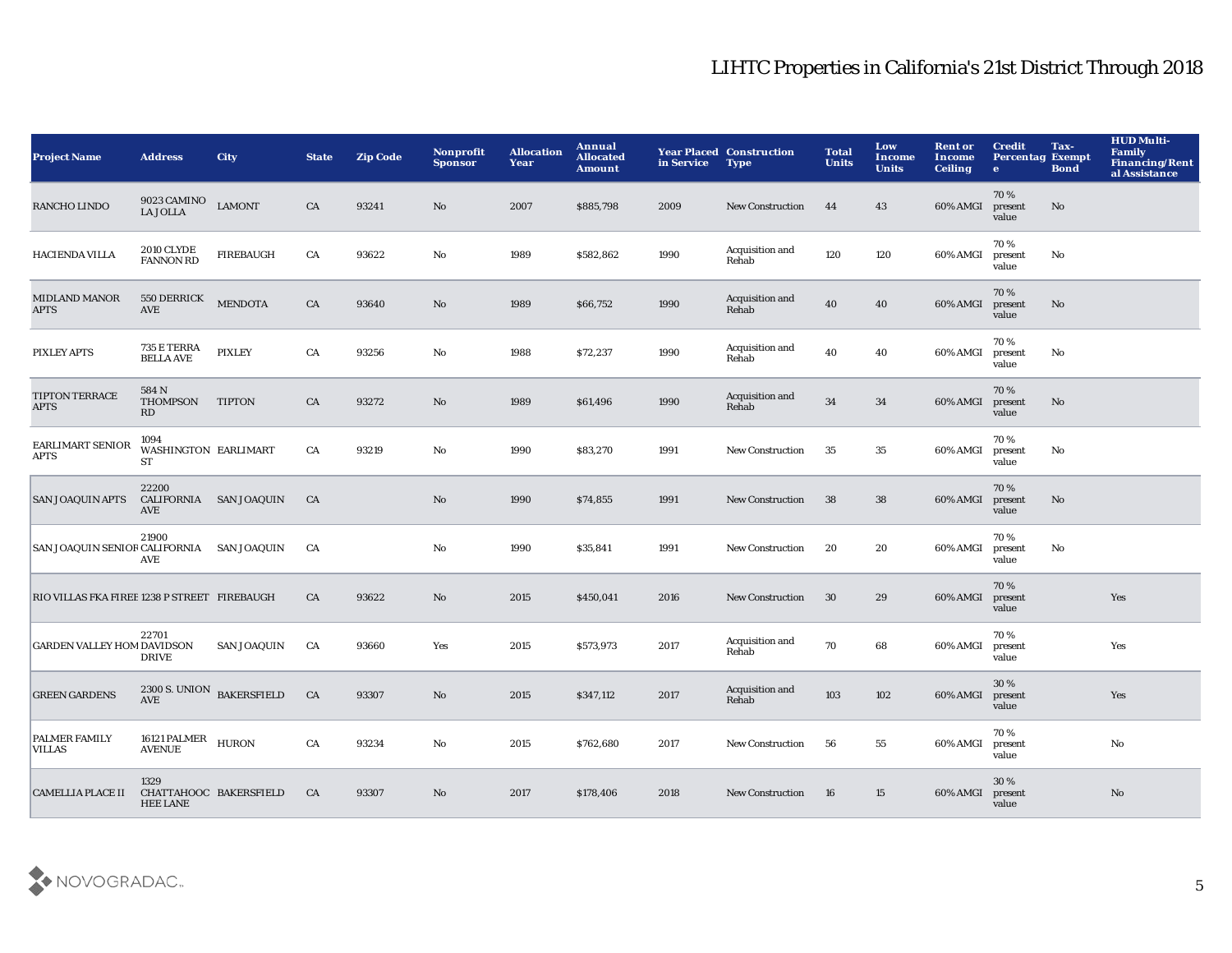| <b>Project Name</b>                         | <b>Address</b>                            | <b>City</b>               | <b>State</b> | <b>Zip Code</b> | <b>Nonprofit</b><br><b>Sponsor</b> | <b>Allocation</b><br>Year | Annual<br><b>Allocated</b><br><b>Amount</b> | in Service | <b>Year Placed Construction</b><br><b>Type</b> | <b>Total</b><br><b>Units</b> | Low<br><b>Income</b><br><b>Units</b> | <b>Rent or</b><br>Income<br><b>Ceiling</b> | <b>Credit</b><br><b>Percentag Exempt</b><br>$\bullet$ | Tax-<br><b>Bond</b>    | <b>HUD Multi-</b><br>Family<br><b>Financing/Rent</b><br>al Assistance |
|---------------------------------------------|-------------------------------------------|---------------------------|--------------|-----------------|------------------------------------|---------------------------|---------------------------------------------|------------|------------------------------------------------|------------------------------|--------------------------------------|--------------------------------------------|-------------------------------------------------------|------------------------|-----------------------------------------------------------------------|
| RANCHO LINDO                                | 9023 CAMINO<br><b>LA JOLLA</b>            | <b>LAMONT</b>             | CA           | 93241           | No                                 | 2007                      | \$885,798                                   | 2009       | <b>New Construction</b>                        | 44                           | 43                                   | 60% AMGI                                   | 70%<br>present<br>value                               | No                     |                                                                       |
| HACIENDA VILLA                              | <b>2010 CLYDE</b><br><b>FANNON RD</b>     | <b>FIREBAUGH</b>          | ${\rm CA}$   | 93622           | $\rm No$                           | 1989                      | \$582,862                                   | 1990       | Acquisition and<br>Rehab                       | 120                          | 120                                  | 60% AMGI                                   | 70%<br>present<br>value                               | $\mathbf{N}\mathbf{o}$ |                                                                       |
| <b>MIDLAND MANOR</b><br><b>APTS</b>         | 550 DERRICK<br>AVE                        | <b>MENDOTA</b>            | CA           | 93640           | No                                 | 1989                      | \$66,752                                    | 1990       | Acquisition and<br>Rehab                       | 40                           | 40                                   | 60% AMGI                                   | 70%<br>present<br>value                               | No                     |                                                                       |
| <b>PIXLEY APTS</b>                          | 735 E TERRA<br><b>BELLA AVE</b>           | <b>PIXLEY</b>             | CA           | 93256           | No                                 | 1988                      | \$72,237                                    | 1990       | Acquisition and<br>Rehab                       | 40                           | 40                                   | 60% AMGI                                   | 70%<br>present<br>value                               | No                     |                                                                       |
| <b>TIPTON TERRACE</b><br><b>APTS</b>        | 584 N<br>THOMPSON<br>RD                   | <b>TIPTON</b>             | CA           | 93272           | $\mathbf{N}\mathbf{o}$             | 1989                      | \$61,496                                    | 1990       | Acquisition and<br>Rehab                       | 34                           | 34                                   | 60% AMGI                                   | 70%<br>present<br>value                               | No                     |                                                                       |
| EARLIMART SENIOR<br><b>APTS</b>             | 1094<br>WASHINGTON EARLIMART<br><b>ST</b> |                           | ${\rm CA}$   | 93219           | No                                 | 1990                      | \$83,270                                    | 1991       | <b>New Construction</b>                        | 35                           | 35                                   | 60% AMGI                                   | 70%<br>present<br>value                               | No                     |                                                                       |
| <b>SAN JOAQUIN APTS</b>                     | 22200<br><b>AVE</b>                       | CALIFORNIA SAN JOAQUIN    | CA           |                 | No                                 | 1990                      | \$74,855                                    | 1991       | <b>New Construction</b>                        | 38                           | 38                                   | 60% AMGI                                   | 70%<br>present<br>value                               | No                     |                                                                       |
| SAN JOAQUIN SENIOR CALIFORNIA               | 21900<br><b>AVE</b>                       | <b>SAN JOAQUIN</b>        | CA           |                 | $\rm No$                           | 1990                      | \$35,841                                    | 1991       | <b>New Construction</b>                        | 20                           | 20                                   | 60% AMGI                                   | 70%<br>present<br>value                               | $\mathbf{N}\mathbf{o}$ |                                                                       |
| RIO VILLAS FKA FIREB1238 P STREET FIREBAUGH |                                           |                           | CA           | 93622           | No                                 | 2015                      | \$450,041                                   | 2016       | <b>New Construction</b>                        | 30                           | 29                                   | 60% AMGI                                   | 70%<br>present<br>value                               |                        | Yes                                                                   |
| <b>GARDEN VALLEY HOM DAVIDSON</b>           | 22701<br><b>DRIVE</b>                     | <b>SAN JOAQUIN</b>        | CA           | 93660           | Yes                                | 2015                      | \$573,973                                   | 2017       | Acquisition and<br>Rehab                       | 70                           | 68                                   | 60% AMGI                                   | 70%<br>present<br>value                               |                        | Yes                                                                   |
| <b>GREEN GARDENS</b>                        | <b>AVE</b>                                | 2300 S. UNION BAKERSFIELD | CA           | 93307           | $\mathbf{N}\mathbf{o}$             | 2015                      | \$347,112                                   | 2017       | Acquisition and<br>Rehab                       | 103                          | 102                                  | 60% AMGI                                   | 30%<br>present<br>value                               |                        | Yes                                                                   |
| PALMER FAMILY<br>VILLAS                     | 16121 PALMER HURON<br>AVENUE HURON        |                           | ${\rm CA}$   | 93234           | $\mathbf{N}\mathbf{o}$             | 2015                      | \$762,680                                   | 2017       | <b>New Construction</b>                        | 56                           | 55                                   | 60% AMGI                                   | 70%<br>present<br>value                               |                        | No                                                                    |
| <b>CAMELLIA PLACE II</b>                    | 1329<br><b>HEE LANE</b>                   | CHATTAHOOC BAKERSFIELD    | CA           | 93307           | No                                 | 2017                      | \$178,406                                   | 2018       | <b>New Construction</b>                        | 16                           | 15                                   | 60% AMGI                                   | 30 %<br>present<br>value                              |                        | No                                                                    |

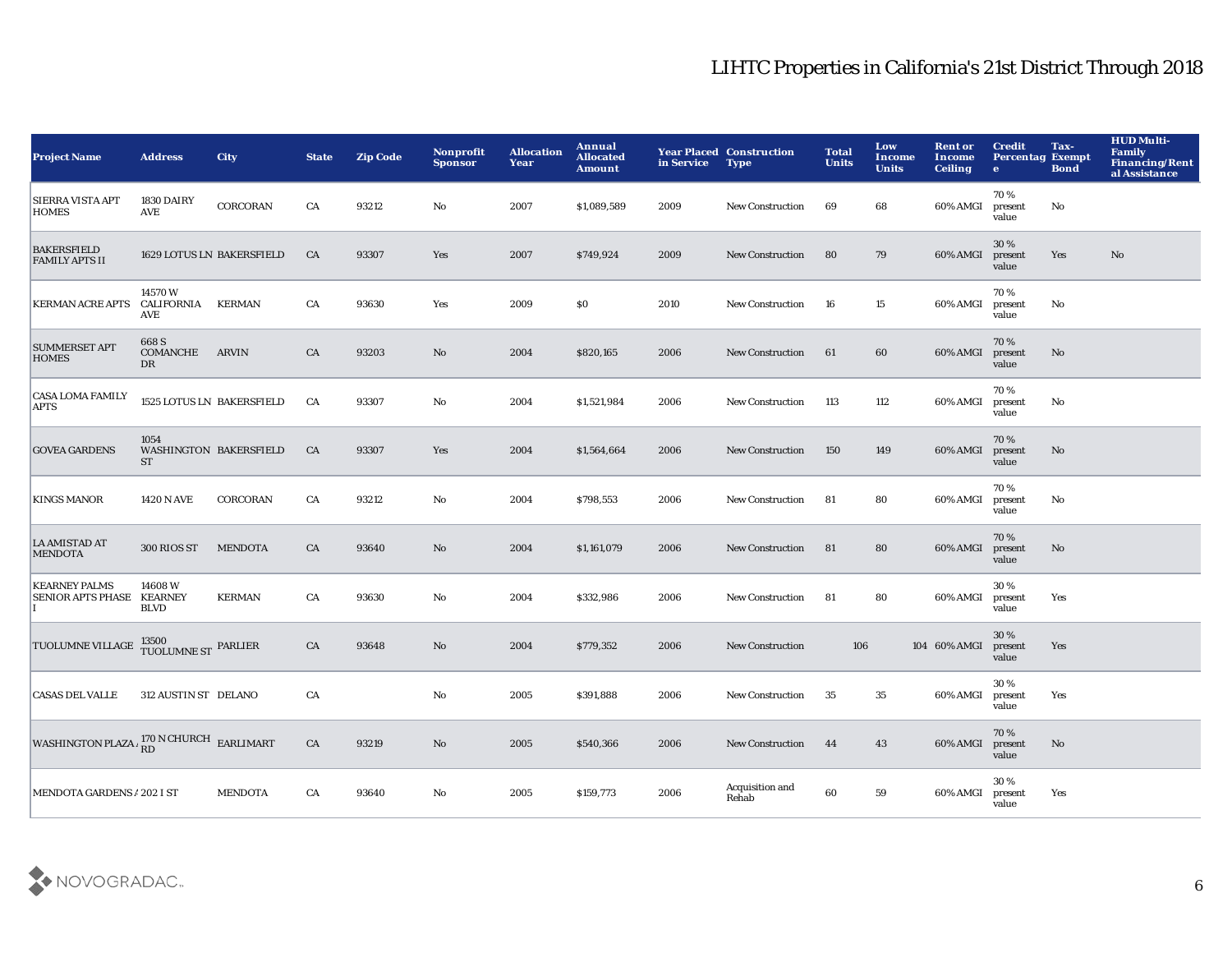| <b>Project Name</b>                                          | <b>Address</b>                     | <b>City</b>                      | <b>State</b> | <b>Zip Code</b> | Nonprofit<br><b>Sponsor</b> | <b>Allocation</b><br>Year | Annual<br><b>Allocated</b><br><b>Amount</b> | in Service | <b>Year Placed Construction</b><br><b>Type</b> | <b>Total</b><br><b>Units</b> | Low<br>Income<br><b>Units</b> | <b>Rent or</b><br>Income<br><b>Ceiling</b> | <b>Credit</b><br><b>Percentag Exempt</b><br>$\bullet$ | Tax-<br><b>Bond</b> | <b>HUD Multi-</b><br><b>Family</b><br><b>Financing/Rent</b><br>al Assistance |
|--------------------------------------------------------------|------------------------------------|----------------------------------|--------------|-----------------|-----------------------------|---------------------------|---------------------------------------------|------------|------------------------------------------------|------------------------------|-------------------------------|--------------------------------------------|-------------------------------------------------------|---------------------|------------------------------------------------------------------------------|
| SIERRA VISTA APT<br><b>HOMES</b>                             | 1830 DAIRY<br><b>AVE</b>           | <b>CORCORAN</b>                  | CA           | 93212           | No                          | 2007                      | \$1,089,589                                 | 2009       | <b>New Construction</b>                        | 69                           | 68                            | 60% AMGI                                   | 70%<br>present<br>value                               | No                  |                                                                              |
| <b>BAKERSFIELD</b><br><b>FAMILY APTS II</b>                  |                                    | <b>1629 LOTUS LN BAKERSFIELD</b> | CA           | 93307           | Yes                         | 2007                      | \$749,924                                   | 2009       | <b>New Construction</b>                        | 80                           | 79                            | 60% AMGI                                   | 30%<br>present<br>value                               | Yes                 | No                                                                           |
| <b>KERMAN ACRE APTS</b>                                      | 14570W<br>CALIFORNIA<br><b>AVE</b> | <b>KERMAN</b>                    | CA           | 93630           | Yes                         | 2009                      | <b>SO</b>                                   | 2010       | <b>New Construction</b>                        | 16                           | 15                            | 60% AMGI                                   | 70%<br>present<br>value                               | No                  |                                                                              |
| <b>SUMMERSET APT</b><br><b>HOMES</b>                         | 668 S<br>COMANCHE<br>DR            | <b>ARVIN</b>                     | CA           | 93203           | No                          | 2004                      | \$820,165                                   | 2006       | <b>New Construction</b>                        | 61                           | 60                            | 60% AMGI                                   | 70%<br>present<br>value                               | No                  |                                                                              |
| <b>CASA LOMA FAMILY</b><br><b>APTS</b>                       |                                    | 1525 LOTUS LN BAKERSFIELD        | CA           | 93307           | No                          | 2004                      | \$1,521,984                                 | 2006       | <b>New Construction</b>                        | 113                          | 112                           | 60% AMGI                                   | 70%<br>present<br>value                               | No                  |                                                                              |
| <b>GOVEA GARDENS</b>                                         | 1054<br><b>ST</b>                  | <b>WASHINGTON BAKERSFIELD</b>    | CA           | 93307           | <b>Yes</b>                  | 2004                      | \$1,564,664                                 | 2006       | <b>New Construction</b>                        | 150                          | 149                           | 60% AMGI                                   | 70%<br>present<br>value                               | No                  |                                                                              |
| <b>KINGS MANOR</b>                                           | <b>1420 N AVE</b>                  | <b>CORCORAN</b>                  | CA           | 93212           | No                          | 2004                      | \$798,553                                   | 2006       | <b>New Construction</b>                        | -81                          | 80                            | 60% AMGI                                   | 70%<br>present<br>value                               | No                  |                                                                              |
| <b>LA AMISTAD AT</b><br><b>MENDOTA</b>                       | 300 RIOS ST                        | <b>MENDOTA</b>                   | CA           | 93640           | No                          | 2004                      | \$1,161,079                                 | 2006       | <b>New Construction</b>                        | 81                           | 80                            | 60% AMGI                                   | 70%<br>present<br>value                               | No                  |                                                                              |
| <b>KEARNEY PALMS</b><br>SENIOR APTS PHASE KEARNEY            | 14608W<br><b>BLVD</b>              | <b>KERMAN</b>                    | CA           | 93630           | No                          | 2004                      | \$332,986                                   | 2006       | <b>New Construction</b>                        | -81                          | 80                            | 60% AMGI                                   | 30%<br>present<br>value                               | Yes                 |                                                                              |
| TUOLUMNE VILLAGE                                             | $13500\,$ TUOLUMNE ST $\,$ PARLIER |                                  | CA           | 93648           | No                          | 2004                      | \$779,352                                   | 2006       | <b>New Construction</b>                        | 106                          |                               | 104 60% AMGI                               | 30%<br>present<br>value                               | Yes                 |                                                                              |
| <b>CASAS DEL VALLE</b>                                       | 312 AUSTIN ST DELANO               |                                  | CA           |                 | No                          | 2005                      | \$391,888                                   | 2006       | <b>New Construction</b>                        | 35                           | 35                            | 60% AMGI                                   | 30%<br>present<br>value                               | Yes                 |                                                                              |
| WASHINGTON PLAZA $\frac{170 \text{ N CHURCH}}{RD}$ EARLIMART |                                    |                                  | CA           | 93219           | No                          | 2005                      | \$540,366                                   | 2006       | <b>New Construction</b>                        | 44                           | 43                            | 60% AMGI                                   | 70%<br>present<br>value                               | No                  |                                                                              |
| <b>MENDOTA GARDENS A 202 I ST</b>                            |                                    | <b>MENDOTA</b>                   | CA           | 93640           | No                          | 2005                      | \$159,773                                   | 2006       | Acquisition and<br>Rehab                       | 60                           | 59                            | 60% AMGI                                   | 30%<br>present<br>value                               | Yes                 |                                                                              |

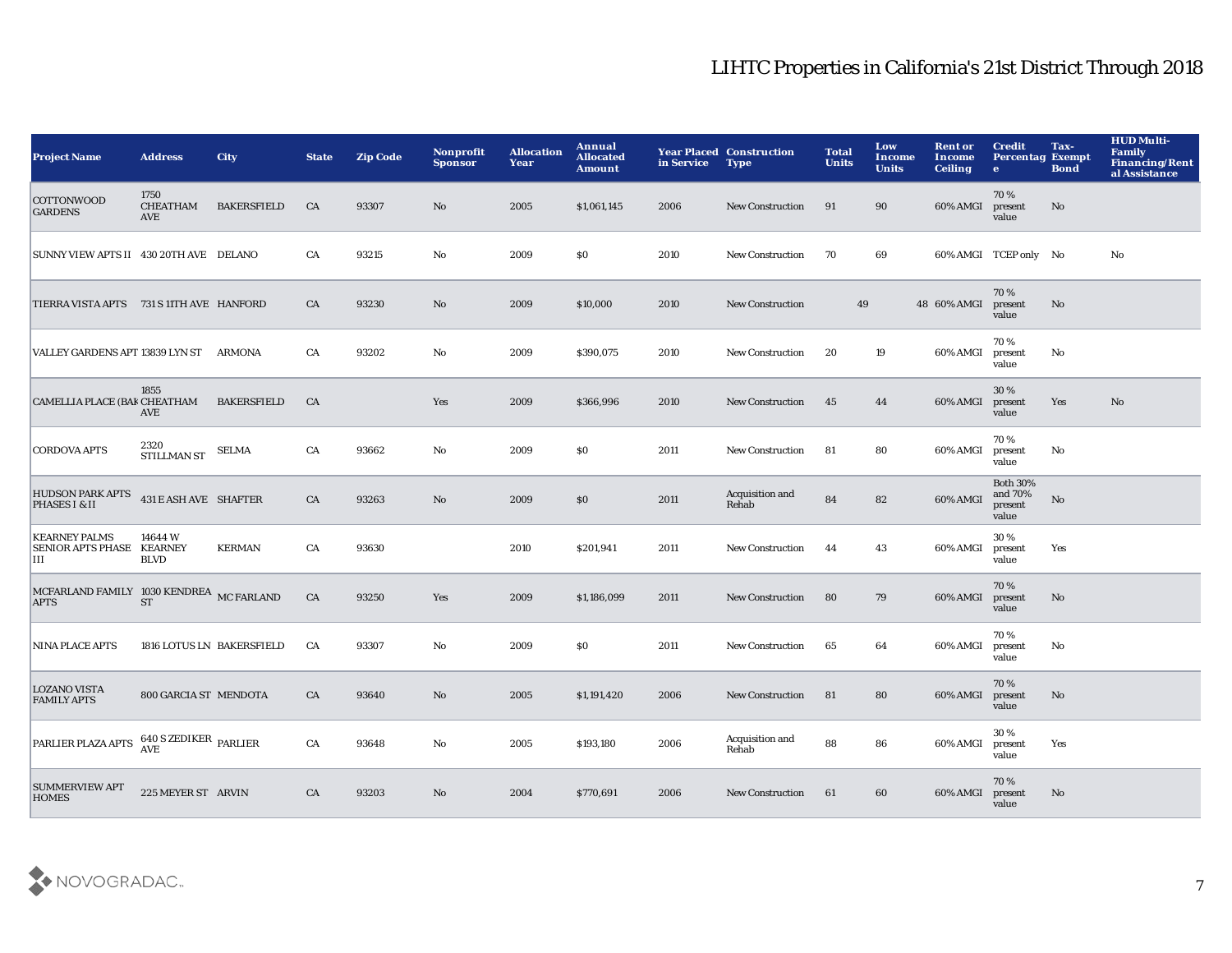| <b>Project Name</b>                                     | <b>Address</b>                 | <b>City</b>               | <b>State</b> | <b>Zip Code</b> | Nonprofit<br><b>Sponsor</b> | <b>Allocation</b><br>Year | Annual<br><b>Allocated</b><br><b>Amount</b> | in Service | <b>Year Placed Construction</b><br><b>Type</b> | <b>Total</b><br><b>Units</b> | Low<br>Income<br><b>Units</b> | <b>Rent or</b><br>Income<br><b>Ceiling</b> | <b>Credit</b><br><b>Percentag Exempt</b><br>$\bullet$ | Tax-<br><b>Bond</b> | <b>HUD Multi-</b><br><b>Family</b><br><b>Financing/Rent</b><br>al Assistance |
|---------------------------------------------------------|--------------------------------|---------------------------|--------------|-----------------|-----------------------------|---------------------------|---------------------------------------------|------------|------------------------------------------------|------------------------------|-------------------------------|--------------------------------------------|-------------------------------------------------------|---------------------|------------------------------------------------------------------------------|
| COTTONWOOD<br><b>GARDENS</b>                            | 1750<br><b>CHEATHAM</b><br>AVE | <b>BAKERSFIELD</b>        | CA           | 93307           | No.                         | 2005                      | \$1,061,145                                 | 2006       | <b>New Construction</b>                        | 91                           | 90                            | 60% AMGI                                   | 70%<br>present<br>value                               | No                  |                                                                              |
| SUNNY VIEW APTS II 430 20TH AVE DELANO                  |                                |                           | CA           | 93215           | $\mathbf {No}$              | 2009                      | \$0                                         | 2010       | <b>New Construction</b>                        | 70                           | 69                            |                                            | 60% AMGI TCEP only No                                 |                     | $\mathbf{N}\mathbf{o}$                                                       |
| TIERRA VISTA APTS 731 S 11TH AVE HANFORD                |                                |                           | CA           | 93230           | $\mathbf{No}$               | 2009                      | \$10,000                                    | 2010       | New Construction                               | 49                           |                               | 48 60% AMGI                                | 70%<br>present<br>value                               | No                  |                                                                              |
| VALLEY GARDENS APT 13839 LYN ST                         |                                | ARMONA                    | CA           | 93202           | No                          | 2009                      | \$390,075                                   | 2010       | <b>New Construction</b>                        | 20                           | 19                            | 60% AMGI                                   | 70%<br>present<br>value                               | No                  |                                                                              |
| CAMELLIA PLACE (BAK CHEATHAM                            | 1855<br><b>AVE</b>             | <b>BAKERSFIELD</b>        | CA           |                 | Yes                         | 2009                      | \$366,996                                   | 2010       | New Construction                               | 45                           | 44                            | 60% AMGI                                   | 30%<br>present<br>value                               | Yes                 | No                                                                           |
| <b>CORDOVA APTS</b>                                     | 2320<br>STILLMAN ST            | <b>SELMA</b>              | CA           | 93662           | No                          | 2009                      | \$0                                         | 2011       | <b>New Construction</b>                        | 81                           | 80                            | 60% AMGI                                   | 70%<br>present<br>value                               | No                  |                                                                              |
| <b>HUDSON PARK APTS</b><br>PHASES I & II                | 431 E ASH AVE SHAFTER          |                           | CA           | 93263           | $\mathbf{No}$               | 2009                      | \$0                                         | 2011       | Acquisition and<br>Rehab                       | 84                           | 82                            | 60% AMGI                                   | <b>Both 30%</b><br>and 70%<br>present<br>value        | No                  |                                                                              |
| <b>KEARNEY PALMS</b><br>SENIOR APTS PHASE KEARNEY<br>IП | 14644 W<br><b>BLVD</b>         | <b>KERMAN</b>             | CA           | 93630           |                             | 2010                      | \$201,941                                   | 2011       | <b>New Construction</b>                        | 44                           | 43                            | 60% AMGI                                   | 30%<br>present<br>value                               | Yes                 |                                                                              |
| MCFARLAND FAMILY 1030 KENDREA MC FARLAND<br><b>APTS</b> | <b>ST</b>                      |                           | CA           | 93250           | Yes                         | 2009                      | \$1,186,099                                 | 2011       | <b>New Construction</b>                        | 80                           | 79                            | 60% AMGI                                   | 70%<br>present<br>value                               | No                  |                                                                              |
| <b>NINA PLACE APTS</b>                                  |                                | 1816 LOTUS LN BAKERSFIELD | CA           | 93307           | No                          | 2009                      | \$0                                         | 2011       | <b>New Construction</b>                        | 65                           | 64                            | 60% AMGI                                   | 70%<br>present<br>value                               | No                  |                                                                              |
| <b>LOZANO VISTA</b><br><b>FAMILY APTS</b>               | 800 GARCIA ST MENDOTA          |                           | CA           | 93640           | No                          | 2005                      | \$1,191,420                                 | 2006       | New Construction                               | 81                           | 80                            | 60% AMGI                                   | 70%<br>present<br>value                               | No                  |                                                                              |
| PARLIER PLAZA APTS                                      | <b>640 S ZEDIKER PARLIER</b>   |                           | CA           | 93648           | No                          | 2005                      | \$193,180                                   | 2006       | Acquisition and<br>Rehab                       | 88                           | 86                            | 60% AMGI                                   | 30%<br>present<br>value                               | Yes                 |                                                                              |
| <b>SUMMERVIEW APT</b><br><b>HOMES</b>                   | 225 MEYER ST ARVIN             |                           | CA           | 93203           | No                          | 2004                      | \$770,691                                   | 2006       | <b>New Construction</b>                        | 61                           | 60                            | 60% AMGI                                   | 70%<br>present<br>value                               | No.                 |                                                                              |

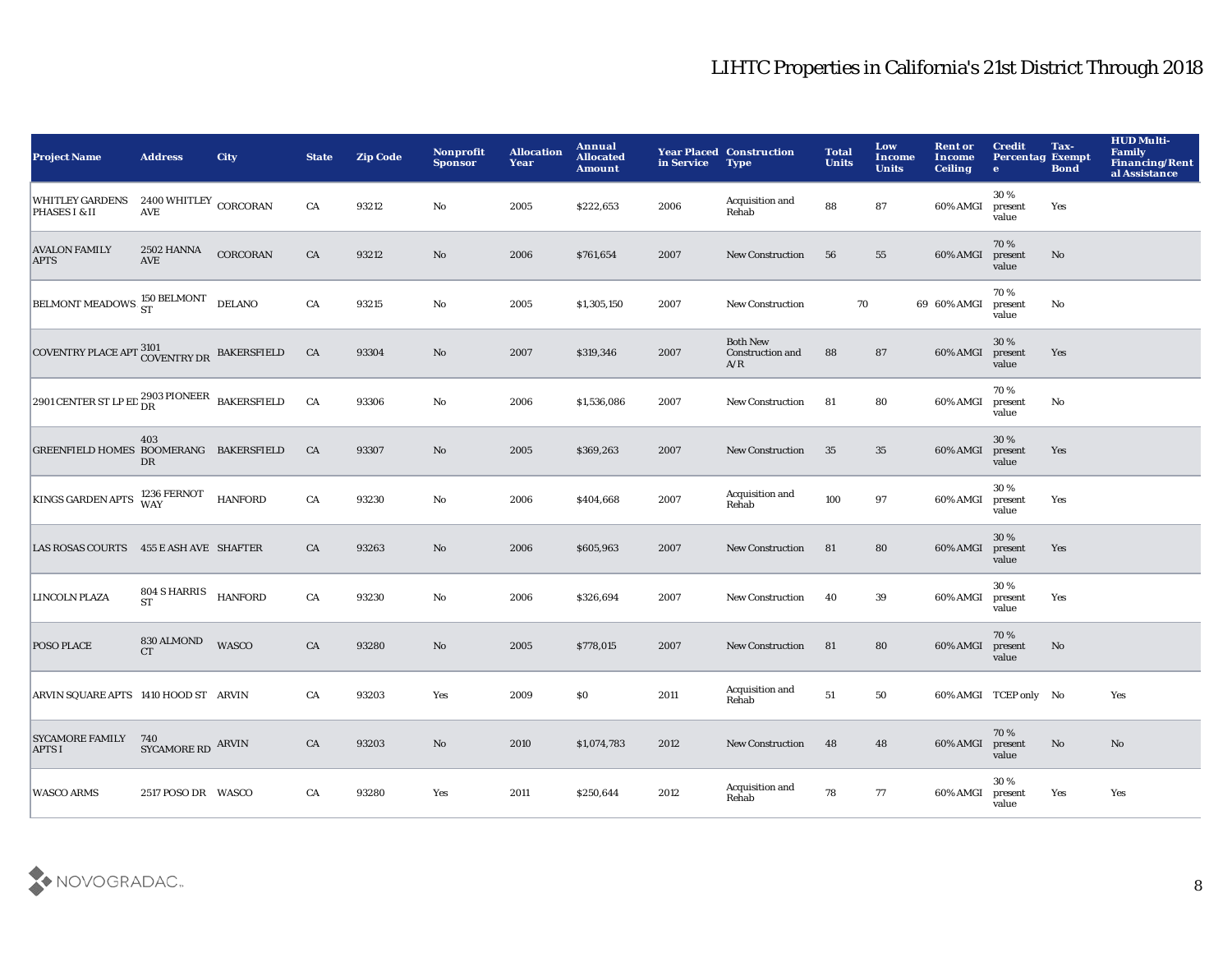| <b>Project Name</b>                                                                                                                                                            | <b>Address</b>            | <b>City</b>    | <b>State</b> | <b>Zip Code</b> | Nonprofit<br><b>Sponsor</b> | <b>Allocation</b><br>Year | Annual<br><b>Allocated</b><br><b>Amount</b> | in Service | <b>Year Placed Construction</b><br><b>Type</b> | <b>Total</b><br><b>Units</b> | Low<br>Income<br><b>Units</b> | <b>Rent or</b><br>Income<br><b>Ceiling</b> | <b>Credit</b><br><b>Percentag Exempt</b><br>$\bullet$ | Tax-<br><b>Bond</b> | <b>HUD Multi-</b><br><b>Family</b><br><b>Financing/Rent</b><br>al Assistance |
|--------------------------------------------------------------------------------------------------------------------------------------------------------------------------------|---------------------------|----------------|--------------|-----------------|-----------------------------|---------------------------|---------------------------------------------|------------|------------------------------------------------|------------------------------|-------------------------------|--------------------------------------------|-------------------------------------------------------|---------------------|------------------------------------------------------------------------------|
| WHITLEY GARDENS 2400 WHITLEY CORCORAN<br>PHASES I & II                                                                                                                         | <b>AVE</b>                |                | CA           | 93212           | No                          | 2005                      | \$222,653                                   | 2006       | Acquisition and<br>Rehab                       | 88                           | 87                            | 60% AMGI                                   | 30%<br>present<br>value                               | Yes                 |                                                                              |
| <b>AVALON FAMILY</b><br><b>APTS</b>                                                                                                                                            | 2502 HANNA<br><b>AVE</b>  | CORCORAN       | ${\rm CA}$   | 93212           | $\mathbf {No}$              | 2006                      | \$761,654                                   | 2007       | <b>New Construction</b>                        | 56                           | 55                            | 60% AMGI                                   | 70%<br>present<br>value                               | No                  |                                                                              |
| <b>BELMONT MEADOWS ST</b>                                                                                                                                                      |                           | <b>DELANO</b>  | ${\rm CA}$   | 93215           | $\mathbf {No}$              | 2005                      | \$1,305,150                                 | 2007       | New Construction                               | 70                           |                               | 69 60% AMGI                                | 70%<br>present<br>value                               | No                  |                                                                              |
| $\begin{array}{ll} \textbf{COVENTRY PLACE} \end{array} \begin{array}{ll} \textbf{3101} \\ \textbf{COVENTRY DR} \end{array} \begin{array}{ll} \textbf{BAKERSFIELD} \end{array}$ |                           |                | CA           | 93304           | No                          | 2007                      | \$319,346                                   | 2007       | <b>Both New</b><br>Construction and<br>A/R     | 88                           | 87                            | 60% AMGI                                   | 30%<br>present<br>value                               | Yes                 |                                                                              |
| 2901 CENTER ST LP ED $_{\text{DR}}^{2903}$ PIONEER BAKERSFIELD                                                                                                                 |                           |                | CA           | 93306           | $\mathbf {No}$              | 2006                      | \$1,536,086                                 | 2007       | <b>New Construction</b>                        | 81                           | 80                            | 60% AMGI                                   | 70%<br>present<br>value                               | No                  |                                                                              |
| GREENFIELD HOMES BOOMERANG BAKERSFIELD                                                                                                                                         | 403<br>DR                 |                | CA           | 93307           | $\mathbf{No}$               | 2005                      | \$369,263                                   | 2007       | <b>New Construction</b>                        | 35                           | 35                            | 60% AMGI                                   | 30%<br>present<br>value                               | Yes                 |                                                                              |
| KINGS GARDEN APTS 1236 FERNOT                                                                                                                                                  |                           | <b>HANFORD</b> | CA           | 93230           | No                          | 2006                      | \$404,668                                   | 2007       | Acquisition and<br>Rehab                       | 100                          | 97                            | 60% AMGI                                   | 30%<br>present<br>value                               | Yes                 |                                                                              |
| LAS ROSAS COURTS 455 E ASH AVE SHAFTER                                                                                                                                         |                           |                | CA           | 93263           | $\mathbf{No}$               | 2006                      | \$605,963                                   | 2007       | <b>New Construction</b>                        | 81                           | 80                            | 60% AMGI                                   | 30%<br>present<br>value                               | Yes                 |                                                                              |
| LINCOLN PLAZA                                                                                                                                                                  | 804 S HARRIS<br><b>ST</b> | <b>HANFORD</b> | ${\rm CA}$   | 93230           | $\mathbf {No}$              | 2006                      | \$326,694                                   | 2007       | <b>New Construction</b>                        | 40                           | 39                            | 60% AMGI                                   | 30%<br>present<br>value                               | Yes                 |                                                                              |
| POSO PLACE                                                                                                                                                                     | 830 ALMOND<br><b>CT</b>   | <b>WASCO</b>   | CA           | 93280           | No                          | 2005                      | \$778,015                                   | 2007       | <b>New Construction</b>                        | 81                           | 80                            | 60% AMGI                                   | 70%<br>present<br>value                               | No                  |                                                                              |
| ARVIN SQUARE APTS 1410 HOOD ST ARVIN                                                                                                                                           |                           |                | CA           | 93203           | Yes                         | 2009                      | \$0                                         | 2011       | Acquisition and<br>Rehab                       | 51                           | 50                            |                                            | 60% AMGI TCEP only No                                 |                     | Yes                                                                          |
| <b>SYCAMORE FAMILY</b><br><b>APTS I</b>                                                                                                                                        | 740<br>SYCAMORE RD ARVIN  |                | CA           | 93203           | No                          | 2010                      | \$1,074,783                                 | 2012       | <b>New Construction</b>                        | 48                           | 48                            | 60% AMGI                                   | 70%<br>present<br>value                               | No                  | No                                                                           |
| <b>WASCO ARMS</b>                                                                                                                                                              | 2517 POSO DR WASCO        |                | CA           | 93280           | Yes                         | 2011                      | \$250,644                                   | 2012       | Acquisition and<br>Rehab                       | 78                           | 77                            | 60% AMGI                                   | 30%<br>present<br>value                               | Yes                 | Yes                                                                          |

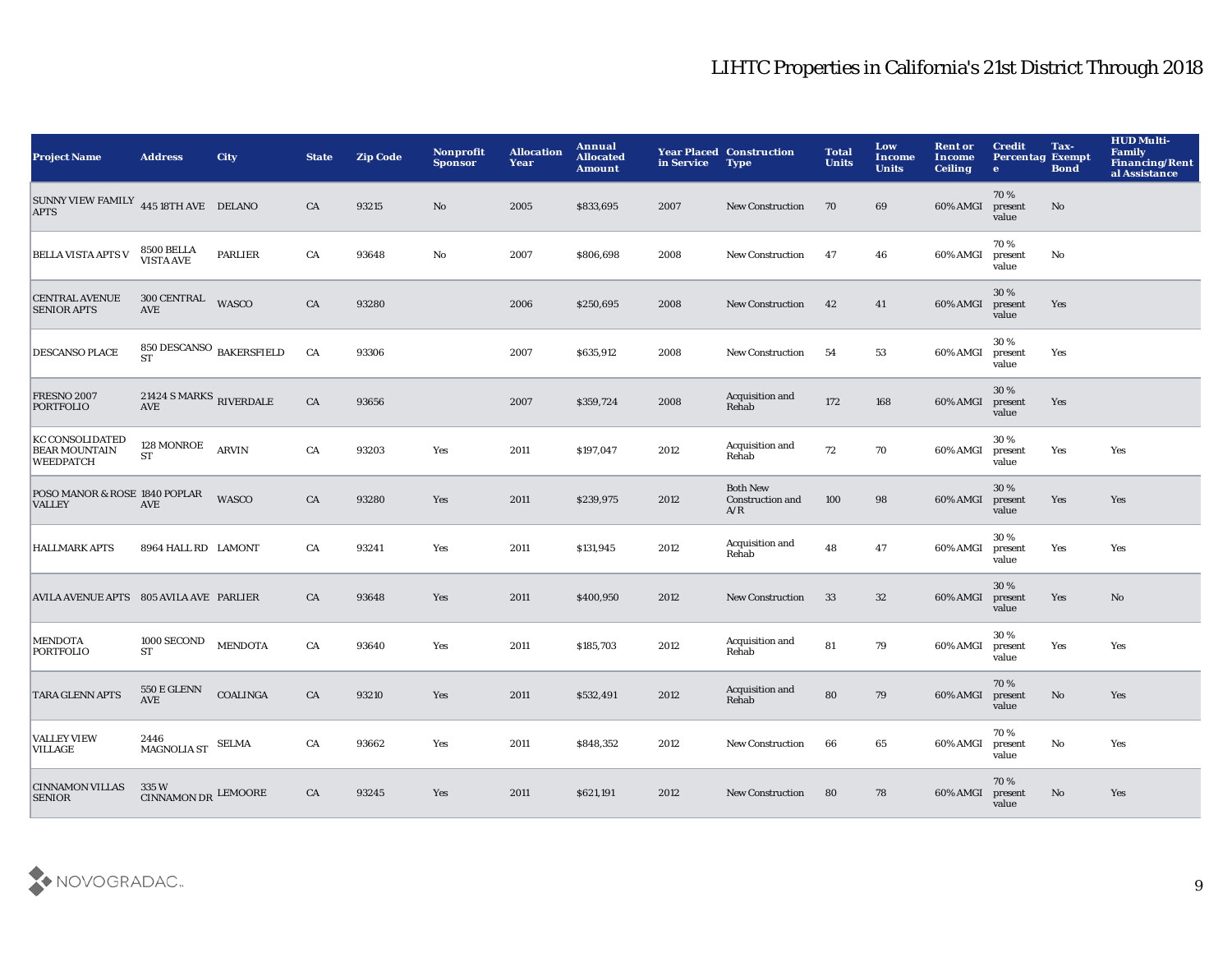| <b>Project Name</b>                                                | <b>Address</b>                                                      | <b>City</b>     | <b>State</b> | <b>Zip Code</b> | Nonprofit<br><b>Sponsor</b> | <b>Allocation</b><br>Year | Annual<br><b>Allocated</b><br><b>Amount</b> | in Service | <b>Year Placed Construction</b><br><b>Type</b>    | <b>Total</b><br><b>Units</b> | Low<br><b>Income</b><br><b>Units</b> | <b>Rent or</b><br>Income<br><b>Ceiling</b> | <b>Credit</b><br><b>Percentag Exempt</b><br>$\bullet$ | Tax-<br><b>Bond</b> | <b>HUD Multi-</b><br>Family<br><b>Financing/Rent</b><br>al Assistance |
|--------------------------------------------------------------------|---------------------------------------------------------------------|-----------------|--------------|-----------------|-----------------------------|---------------------------|---------------------------------------------|------------|---------------------------------------------------|------------------------------|--------------------------------------|--------------------------------------------|-------------------------------------------------------|---------------------|-----------------------------------------------------------------------|
| SUNNY VIEW FAMILY 445 18TH AVE DELANO<br><b>APTS</b>               |                                                                     |                 | CA           | 93215           | No                          | 2005                      | \$833,695                                   | 2007       | <b>New Construction</b>                           | 70                           | 69                                   | 60% AMGI                                   | 70%<br>present<br>value                               | $\mathbf{No}$       |                                                                       |
| <b>BELLA VISTA APTS V</b>                                          | 8500 BELLA<br>VISTA AVE                                             | PARLIER         | ${\rm CA}$   | 93648           | No                          | 2007                      | \$806,698                                   | 2008       | <b>New Construction</b>                           | 47                           | 46                                   | 60% AMGI                                   | 70%<br>present<br>value                               | No                  |                                                                       |
| <b>CENTRAL AVENUE</b><br><b>SENIOR APTS</b>                        | 300 CENTRAL<br><b>AVE</b>                                           | <b>WASCO</b>    | CA           | 93280           |                             | 2006                      | \$250,695                                   | 2008       | <b>New Construction</b>                           | 42                           | 41                                   | 60% AMGI                                   | 30%<br>present<br>value                               | Yes                 |                                                                       |
| <b>DESCANSO PLACE</b>                                              | 850 DESCANSO $_{\rm BAKERSFIELD}$<br><b>ST</b>                      |                 | CA           | 93306           |                             | 2007                      | \$635,912                                   | 2008       | <b>New Construction</b>                           | 54                           | 53                                   | 60% AMGI                                   | 30%<br>present<br>value                               | Yes                 |                                                                       |
| <b>FRESNO 2007</b><br><b>PORTFOLIO</b>                             | $21424$ S MARKS $_{\rm RIVERDALE}$<br>$\operatorname{\mathbf{AVE}}$ |                 | ${\rm CA}$   | 93656           |                             | 2007                      | \$359,724                                   | 2008       | Acquisition and<br>Rehab                          | 172                          | 168                                  | 60% AMGI                                   | 30 %<br>present<br>value                              | Yes                 |                                                                       |
| <b>KC CONSOLIDATED</b><br><b>BEAR MOUNTAIN</b><br><b>WEEDPATCH</b> | 128 MONROE<br><b>ST</b>                                             | <b>ARVIN</b>    | CA           | 93203           | Yes                         | 2011                      | \$197,047                                   | 2012       | Acquisition and<br>Rehab                          | 72                           | 70                                   | 60% AMGI                                   | 30%<br>present<br>value                               | Yes                 | Yes                                                                   |
| POSO MANOR & ROSE 1840 POPLAR<br><b>VALLEY</b>                     | <b>AVE</b>                                                          | WASCO           | CA           | 93280           | Yes                         | 2011                      | \$239,975                                   | 2012       | <b>Both New</b><br><b>Construction and</b><br>A/R | 100                          | 98                                   | 60% AMGI                                   | 30%<br>present<br>value                               | Yes                 | Yes                                                                   |
| <b>HALLMARK APTS</b>                                               | 8964 HALL RD LAMONT                                                 |                 | CA           | 93241           | Yes                         | 2011                      | \$131,945                                   | 2012       | Acquisition and<br>Rehab                          | 48                           | 47                                   | 60% AMGI                                   | 30%<br>present<br>value                               | Yes                 | Yes                                                                   |
| AVILA AVENUE APTS 805 AVILA AVE PARLIER                            |                                                                     |                 | CA           | 93648           | Yes                         | 2011                      | \$400,950                                   | 2012       | <b>New Construction</b>                           | 33                           | $32\,$                               | 60% AMGI                                   | 30%<br>present<br>value                               | Yes                 | No                                                                    |
| <b>MENDOTA</b><br><b>PORTFOLIO</b>                                 | 1000 SECOND<br><b>ST</b>                                            | <b>MENDOTA</b>  | CA           | 93640           | Yes                         | 2011                      | \$185,703                                   | 2012       | Acquisition and<br>Rehab                          | 81                           | 79                                   | 60% AMGI                                   | 30%<br>present<br>value                               | Yes                 | Yes                                                                   |
| TARA GLENN APTS                                                    | 550 E GLENN<br><b>AVE</b>                                           | <b>COALINGA</b> | CA           | 93210           | Yes                         | 2011                      | \$532,491                                   | 2012       | Acquisition and<br>Rehab                          | 80                           | 79                                   | 60% AMGI                                   | 70%<br>present<br>value                               | $\mathbf {No}$      | Yes                                                                   |
| <b>VALLEY VIEW</b><br><b>VILLAGE</b>                               | 2446<br><b>MAGNOLIA ST</b>                                          | <b>SELMA</b>    | CA           | 93662           | Yes                         | 2011                      | \$848,352                                   | 2012       | <b>New Construction</b>                           | 66                           | 65                                   | 60% AMGI                                   | 70%<br>present<br>value                               | No                  | Yes                                                                   |
| <b>CINNAMON VILLAS</b><br><b>SENIOR</b>                            | 335 W<br>CINNAMON DR LEMOORE                                        |                 | CA           | 93245           | Yes                         | 2011                      | \$621,191                                   | 2012       | <b>New Construction</b>                           | 80                           | 78                                   | 60% AMGI                                   | 70%<br>present<br>value                               | No                  | Yes                                                                   |

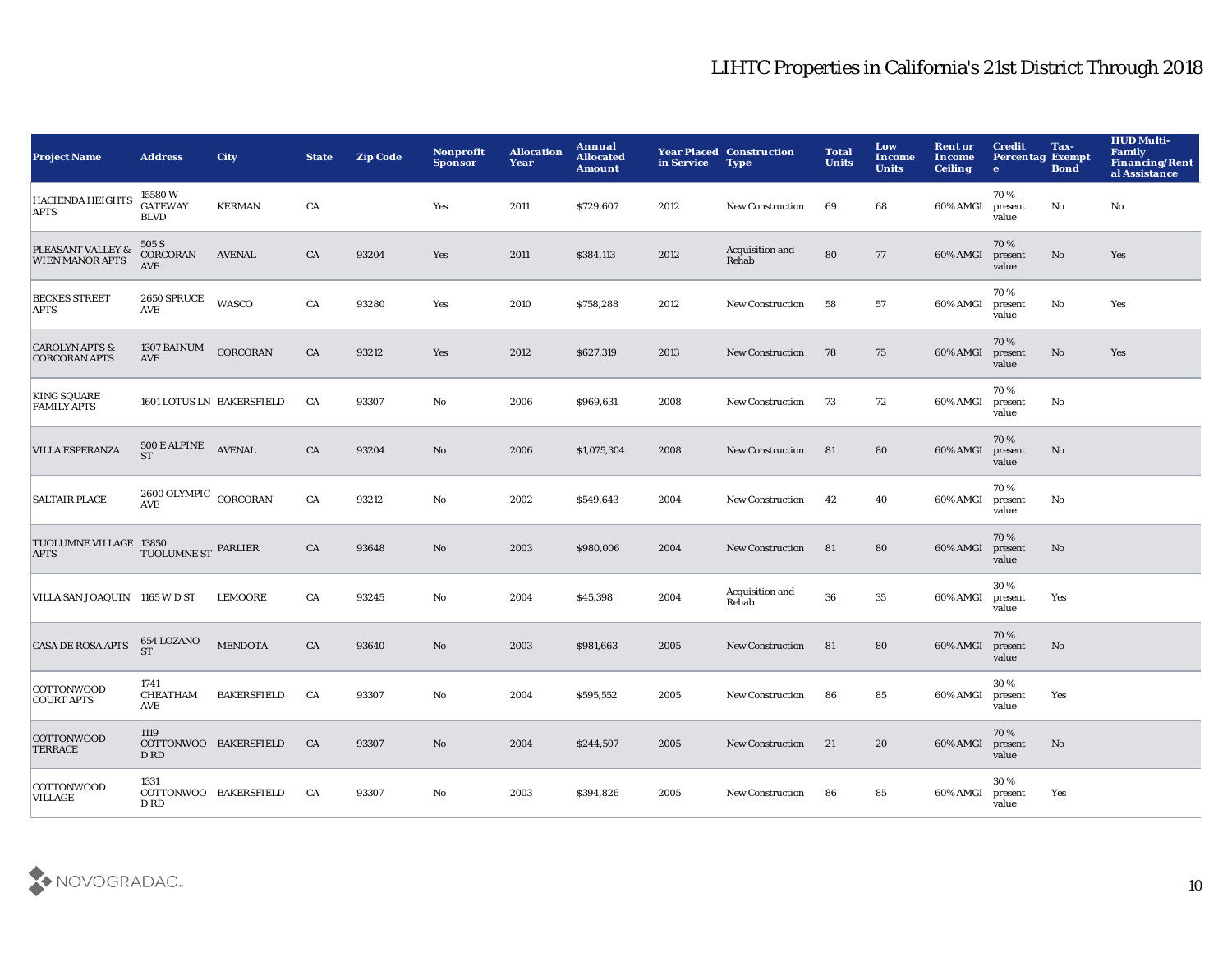| <b>Project Name</b>                               | <b>Address</b>                                  | City                      | <b>State</b> | <b>Zip Code</b> | Nonprofit<br><b>Sponsor</b> | <b>Allocation</b><br>Year | Annual<br><b>Allocated</b><br><b>Amount</b> | in Service | <b>Year Placed Construction</b><br><b>Type</b> | <b>Total</b><br><b>Units</b> | Low<br><b>Income</b><br><b>Units</b> | <b>Rent or</b><br>Income<br><b>Ceiling</b> | <b>Credit</b><br><b>Percentag Exempt</b><br>$\bullet$ | Tax-<br><b>Bond</b>    | <b>HUD Multi-</b><br><b>Family</b><br><b>Financing/Rent</b><br>al Assistance |
|---------------------------------------------------|-------------------------------------------------|---------------------------|--------------|-----------------|-----------------------------|---------------------------|---------------------------------------------|------------|------------------------------------------------|------------------------------|--------------------------------------|--------------------------------------------|-------------------------------------------------------|------------------------|------------------------------------------------------------------------------|
| <b>HACIENDA HEIGHTS</b><br><b>APTS</b>            | 15580W<br><b>GATEWAY</b><br><b>BLVD</b>         | <b>KERMAN</b>             | CA           |                 | Yes                         | 2011                      | \$729,607                                   | 2012       | <b>New Construction</b>                        | 69                           | 68                                   | 60% AMGI                                   | 70%<br>present<br>value                               | No                     | No                                                                           |
| PLEASANT VALLEY &<br><b>WIEN MANOR APTS</b>       | 505 S<br>CORCORAN<br><b>AVE</b>                 | <b>AVENAL</b>             | CA           | 93204           | Yes                         | 2011                      | \$384,113                                   | 2012       | Acquisition and<br>Rehab                       | 80                           | 77                                   | 60% AMGI                                   | 70%<br>present<br>value                               | $\mathbf {No}$         | Yes                                                                          |
| <b>BECKES STREET</b><br>APTS                      | 2650 SPRUCE<br><b>AVE</b>                       | <b>WASCO</b>              | CA           | 93280           | Yes                         | 2010                      | \$758,288                                   | 2012       | New Construction                               | 58                           | 57                                   | 60% AMGI                                   | 70%<br>present<br>value                               | $\mathbf{No}$          | Yes                                                                          |
| <b>CAROLYN APTS &amp;</b><br><b>CORCORAN APTS</b> | <b>1307 BAINUM</b><br><b>AVE</b>                | CORCORAN                  | CA           | 93212           | Yes                         | 2012                      | \$627,319                                   | 2013       | <b>New Construction</b>                        | 78                           | 75                                   | 60% AMGI                                   | 70%<br>present<br>value                               | $\mathbf{N}\mathbf{o}$ | Yes                                                                          |
| <b>KING SQUARE</b><br><b>FAMILY APTS</b>          |                                                 | 1601 LOTUS LN BAKERSFIELD | CA           | 93307           | No                          | 2006                      | \$969,631                                   | 2008       | <b>New Construction</b>                        | 73                           | 72                                   | 60% AMGI                                   | 70%<br>present<br>value                               | No                     |                                                                              |
| <b>VILLA ESPERANZA</b>                            | $500\,\mathrm{E}\,\mathrm{ALPINE}$<br><b>ST</b> | <b>AVENAL</b>             | CA           | 93204           | $\mathbf{No}$               | 2006                      | \$1,075,304                                 | 2008       | <b>New Construction</b>                        | 81                           | 80                                   | 60% AMGI                                   | 70%<br>present<br>value                               | No                     |                                                                              |
| <b>SALTAIR PLACE</b>                              | $2600$ OLYMPIC $\,$ CORCORAN<br><b>AVE</b>      |                           | CA           | 93212           | No                          | 2002                      | \$549,643                                   | 2004       | <b>New Construction</b>                        | 42                           | 40                                   | 60% AMGI                                   | 70%<br>present<br>value                               | No                     |                                                                              |
| TUOLUMNE VILLAGE 13850<br><b>APTS</b>             | TUOLUMNE ST PARLIER                             |                           | CA           | 93648           | $\mathbf{N}\mathbf{o}$      | 2003                      | \$980,006                                   | 2004       | <b>New Construction</b>                        | 81                           | 80                                   | 60% AMGI                                   | 70%<br>present<br>value                               | No                     |                                                                              |
| VILLA SAN JOAQUIN 1165 W D ST                     |                                                 | <b>LEMOORE</b>            | CA           | 93245           | No                          | 2004                      | \$45,398                                    | 2004       | Acquisition and<br>Rehab                       | ${\bf 36}$                   | 35                                   | 60% AMGI                                   | 30%<br>present<br>value                               | Yes                    |                                                                              |
| <b>CASA DE ROSA APTS</b>                          | 654 LOZANO<br><b>ST</b>                         | <b>MENDOTA</b>            | CA           | 93640           | No                          | 2003                      | \$981,663                                   | 2005       | <b>New Construction</b>                        | 81                           | 80                                   | 60% AMGI                                   | 70%<br>present<br>value                               | $\mathbf{No}$          |                                                                              |
| <b>COTTONWOOD</b><br><b>COURT APTS</b>            | 1741<br>CHEATHAM<br><b>AVE</b>                  | <b>BAKERSFIELD</b>        | CA           | 93307           | $\mathbf{No}$               | 2004                      | \$595,552                                   | 2005       | <b>New Construction</b>                        | 86                           | 85                                   | 60% AMGI                                   | 30%<br>present<br>value                               | Yes                    |                                                                              |
| <b>COTTONWOOD</b><br><b>TERRACE</b>               | 1119<br>D RD                                    | COTTONWOO BAKERSFIELD     | CA           | 93307           | No                          | 2004                      | \$244,507                                   | 2005       | <b>New Construction</b>                        | 21                           | 20                                   | 60% AMGI                                   | 70%<br>present<br>value                               | $\mathbf{No}$          |                                                                              |
| <b>COTTONWOOD</b><br><b>VILLAGE</b>               | 1331<br>D RD                                    | COTTONWOO BAKERSFIELD     | CA           | 93307           | No                          | 2003                      | \$394,826                                   | 2005       | <b>New Construction</b>                        | 86                           | 85                                   | 60% AMGI                                   | 30%<br>present<br>value                               | Yes                    |                                                                              |

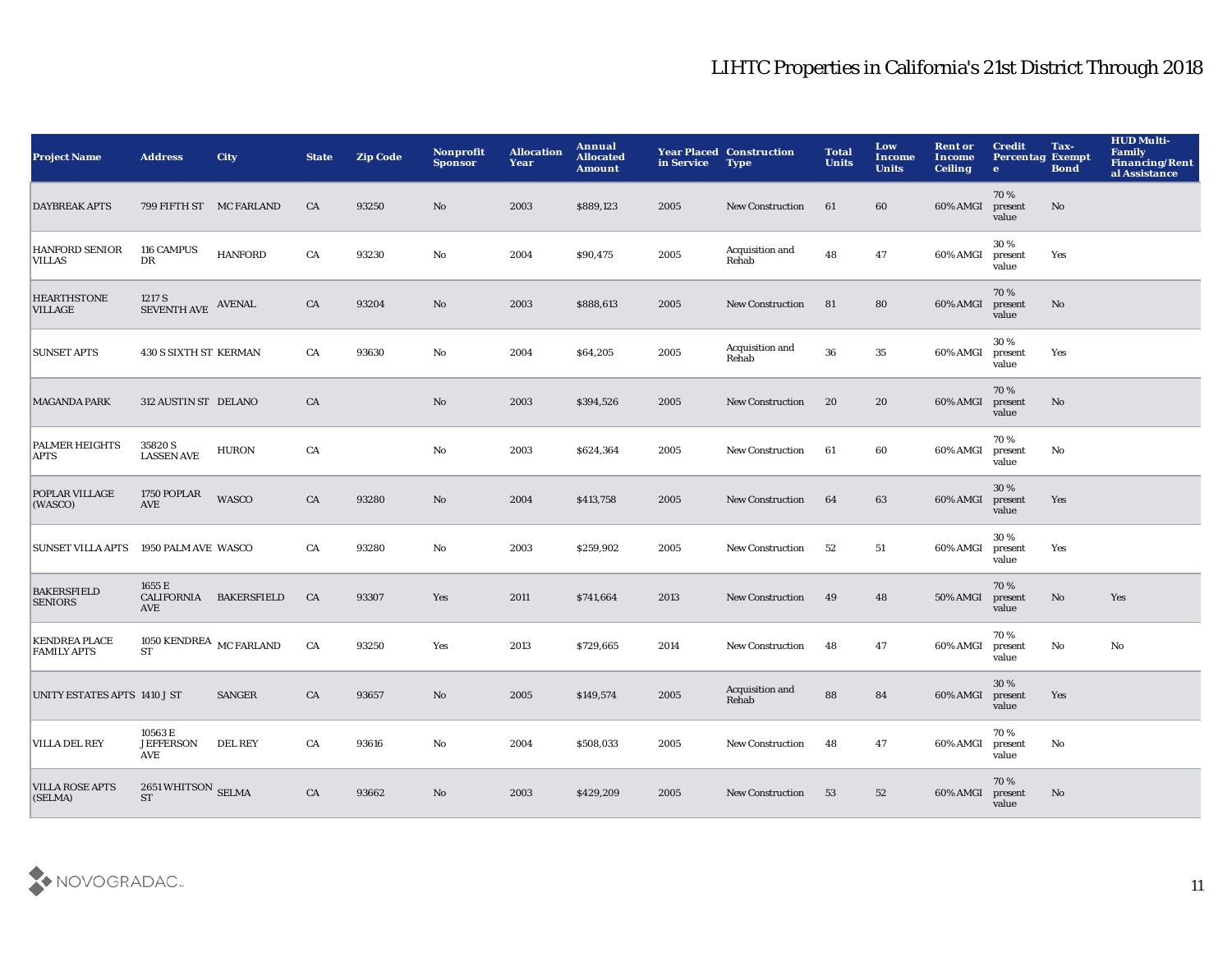| <b>Project Name</b>                        | <b>Address</b>                            | <b>City</b>        | <b>State</b> | <b>Zip Code</b> | Nonprofit<br><b>Sponsor</b> | <b>Allocation</b><br>Year | Annual<br><b>Allocated</b><br><b>Amount</b> | in Service | <b>Year Placed Construction</b><br><b>Type</b> | <b>Total</b><br><b>Units</b> | Low<br>Income<br><b>Units</b> | <b>Rent or</b><br>Income<br><b>Ceiling</b> | <b>Credit</b><br><b>Percentag Exempt</b><br>$\bullet$ | Tax-<br><b>Bond</b> | <b>HUD Multi-</b><br><b>Family</b><br><b>Financing/Rent</b><br>al Assistance |
|--------------------------------------------|-------------------------------------------|--------------------|--------------|-----------------|-----------------------------|---------------------------|---------------------------------------------|------------|------------------------------------------------|------------------------------|-------------------------------|--------------------------------------------|-------------------------------------------------------|---------------------|------------------------------------------------------------------------------|
| <b>DAYBREAK APTS</b>                       | 799 FIFTH ST MC FARLAND                   |                    | CA           | 93250           | No                          | 2003                      | \$889,123                                   | 2005       | <b>New Construction</b>                        | 61                           | 60                            | 60% AMGI                                   | 70%<br>present<br>value                               | No                  |                                                                              |
| <b>HANFORD SENIOR</b><br><b>VILLAS</b>     | 116 CAMPUS<br>$_{\rm DR}$                 | <b>HANFORD</b>     | CA           | 93230           | No                          | 2004                      | \$90,475                                    | 2005       | Acquisition and<br>Rehab                       | 48                           | 47                            | 60% AMGI                                   | 30%<br>present<br>value                               | Yes                 |                                                                              |
| <b>HEARTHSTONE</b><br><b>VILLAGE</b>       | 1217 S<br>SEVENTH AVE AVENAL              |                    | CA           | 93204           | $\mathbf{N}\mathbf{o}$      | 2003                      | \$888,613                                   | 2005       | <b>New Construction</b>                        | 81                           | 80                            | 60% AMGI                                   | 70%<br>present<br>value                               | $\mathbf{No}$       |                                                                              |
| <b>SUNSET APTS</b>                         | <b>430 S SIXTH ST KERMAN</b>              |                    | CA           | 93630           | No                          | 2004                      | \$64,205                                    | 2005       | Acquisition and<br>Rehab                       | 36                           | 35                            | 60% AMGI                                   | 30%<br>present<br>value                               | Yes                 |                                                                              |
| <b>MAGANDA PARK</b>                        | 312 AUSTIN ST DELANO                      |                    | CA           |                 | $\mathbf{No}$               | 2003                      | \$394,526                                   | 2005       | <b>New Construction</b>                        | 20                           | 20                            | 60% AMGI                                   | 70%<br>present<br>value                               | $\mathbf{No}$       |                                                                              |
| <b>PALMER HEIGHTS</b><br><b>APTS</b>       | 35820 S<br><b>LASSEN AVE</b>              | <b>HURON</b>       | CA           |                 | No                          | 2003                      | \$624,364                                   | 2005       | <b>New Construction</b>                        | 61                           | 60                            | 60% AMGI                                   | 70%<br>present<br>value                               | No                  |                                                                              |
| POPLAR VILLAGE<br>(WASCO)                  | 1750 POPLAR<br><b>AVE</b>                 | WASCO              | CA           | 93280           | $\mathbf{N}\mathbf{o}$      | 2004                      | \$413,758                                   | 2005       | New Construction                               | 64                           | 63                            | 60% AMGI                                   | 30%<br>present<br>value                               | Yes                 |                                                                              |
| SUNSET VILLA APTS 1950 PALM AVE WASCO      |                                           |                    | CA           | 93280           | No                          | 2003                      | \$259,902                                   | 2005       | <b>New Construction</b>                        | 52                           | 51                            | 60% AMGI                                   | 30%<br>present<br>value                               | Yes                 |                                                                              |
| <b>BAKERSFIELD</b><br><b>SENIORS</b>       | 1655 E<br><b>CALIFORNIA</b><br>AVE        | <b>BAKERSFIELD</b> | CA           | 93307           | Yes                         | 2011                      | \$741,664                                   | 2013       | <b>New Construction</b>                        | 49                           | 48                            | 50% AMGI                                   | 70%<br>present<br>value                               | $\mathbf{No}$       | Yes                                                                          |
| <b>KENDREA PLACE</b><br><b>FAMILY APTS</b> | 1050 KENDREA $\,$ MC FARLAND<br><b>ST</b> |                    | ${\rm CA}$   | 93250           | Yes                         | 2013                      | \$729,665                                   | 2014       | <b>New Construction</b>                        | 48                           | 47                            | 60% AMGI                                   | 70%<br>present<br>value                               | No                  | No                                                                           |
| UNITY ESTATES APTS 1410 J ST               |                                           | <b>SANGER</b>      | CA           | 93657           | No                          | 2005                      | \$149,574                                   | 2005       | Acquisition and<br>Rehab                       | 88                           | 84                            | 60% AMGI                                   | 30%<br>present<br>value                               | Yes                 |                                                                              |
| <b>VILLA DEL REY</b>                       | 10563 E<br><b>JEFFERSON</b><br>AVE        | <b>DEL REY</b>     | CA           | 93616           | No                          | 2004                      | \$508,033                                   | 2005       | <b>New Construction</b>                        | 48                           | 47                            | 60% AMGI                                   | 70%<br>present<br>value                               | No                  |                                                                              |
| <b>VILLA ROSE APTS</b><br>(SELMA)          | 2651 WHITSON SELMA<br><b>ST</b>           |                    | CA           | 93662           | $\rm No$                    | 2003                      | \$429,209                                   | 2005       | <b>New Construction</b>                        | 53                           | 52                            | 60% AMGI                                   | 70%<br>present<br>value                               | No                  |                                                                              |

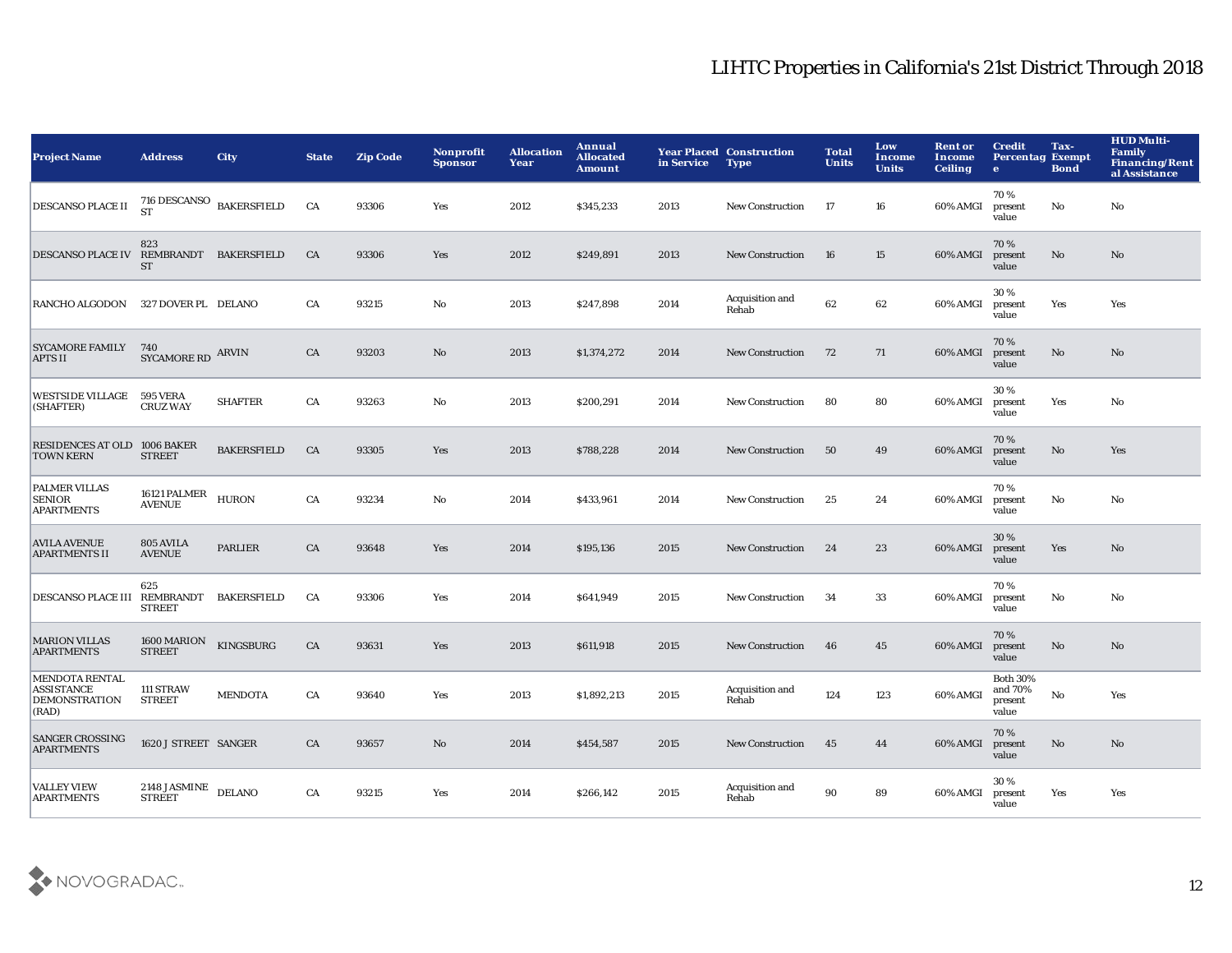| <b>Project Name</b>                                                         | <b>Address</b>                                   | <b>City</b>        | <b>State</b> | <b>Zip Code</b> | Nonprofit<br><b>Sponsor</b> | <b>Allocation</b><br>Year | Annual<br><b>Allocated</b><br><b>Amount</b> | in Service | <b>Year Placed Construction</b><br><b>Type</b> | <b>Total</b><br><b>Units</b> | Low<br><b>Income</b><br><b>Units</b> | <b>Rent or</b><br>Income<br><b>Ceiling</b> | <b>Credit</b><br><b>Percentag Exempt</b><br>$\bullet$ | Tax-<br><b>Bond</b> | <b>HUD Multi-</b><br><b>Family</b><br><b>Financing/Rent</b><br>al Assistance |
|-----------------------------------------------------------------------------|--------------------------------------------------|--------------------|--------------|-----------------|-----------------------------|---------------------------|---------------------------------------------|------------|------------------------------------------------|------------------------------|--------------------------------------|--------------------------------------------|-------------------------------------------------------|---------------------|------------------------------------------------------------------------------|
| <b>DESCANSO PLACE II</b>                                                    | 716 DESCANSO $_{\rm \,BAKERSFIELD}$<br><b>ST</b> |                    | CA           | 93306           | Yes                         | 2012                      | \$345,233                                   | 2013       | <b>New Construction</b>                        | -17                          | 16                                   | 60% AMGI                                   | 70%<br>present<br>value                               | No                  | No                                                                           |
| DESCANSO PLACE IV REMBRANDT BAKERSFIELD                                     | 823<br><b>ST</b>                                 |                    | CA           | 93306           | Yes                         | 2012                      | \$249,891                                   | 2013       | <b>New Construction</b>                        | 16                           | 15                                   | 60% AMGI                                   | 70%<br>present<br>value                               | No                  | No                                                                           |
| <b>RANCHO ALGODON</b>                                                       | 327 DOVER PL DELANO                              |                    | CA           | 93215           | No                          | 2013                      | \$247,898                                   | 2014       | Acquisition and<br>Rehab                       | 62                           | 62                                   | 60% AMGI                                   | 30%<br>present<br>value                               | Yes                 | Yes                                                                          |
| <b>SYCAMORE FAMILY</b><br><b>APTS II</b>                                    | 740<br>SYCAMORE RD ARVIN                         |                    | CA           | 93203           | No                          | 2013                      | \$1,374,272                                 | 2014       | <b>New Construction</b>                        | 72                           | 71                                   | 60% AMGI                                   | 70%<br>present<br>value                               | No                  | No                                                                           |
| <b>WESTSIDE VILLAGE</b><br>(SHAFTER)                                        | <b>595 VERA</b><br><b>CRUZ WAY</b>               | <b>SHAFTER</b>     | CA           | 93263           | No                          | 2013                      | \$200,291                                   | 2014       | <b>New Construction</b>                        | 80                           | 80                                   | 60% AMGI                                   | 30%<br>present<br>value                               | Yes                 | No                                                                           |
| RESIDENCES AT OLD 1006 BAKER<br><b>TOWN KERN</b>                            | <b>STREET</b>                                    | <b>BAKERSFIELD</b> | CA           | 93305           | Yes                         | 2013                      | \$788,228                                   | 2014       | <b>New Construction</b>                        | 50                           | 49                                   | 60% AMGI                                   | 70%<br>present<br>value                               | $\mathbf{No}$       | Yes                                                                          |
| PALMER VILLAS<br><b>SENIOR</b><br><b>APARTMENTS</b>                         | 16121 PALMER<br><b>AVENUE</b>                    | <b>HURON</b>       | CA           | 93234           | No                          | 2014                      | \$433,961                                   | 2014       | <b>New Construction</b>                        | 25                           | 24                                   | 60% AMGI                                   | 70%<br>present<br>value                               | No                  | No                                                                           |
| <b>AVILA AVENUE</b><br><b>APARTMENTS II</b>                                 | 805 AVILA<br><b>AVENUE</b>                       | <b>PARLIER</b>     | CA           | 93648           | Yes                         | 2014                      | \$195,136                                   | 2015       | <b>New Construction</b>                        | 24                           | 23                                   | 60% AMGI                                   | 30%<br>present<br>value                               | Yes                 | No                                                                           |
| DESCANSO PLACE III REMBRANDT                                                | 625<br><b>STREET</b>                             | <b>BAKERSFIELD</b> | CA           | 93306           | Yes                         | 2014                      | \$641,949                                   | 2015       | <b>New Construction</b>                        | 34                           | 33                                   | 60% AMGI                                   | 70%<br>present<br>value                               | No                  | No                                                                           |
| <b>MARION VILLAS</b><br><b>APARTMENTS</b>                                   | 1600 MARION<br><b>STREET</b>                     | <b>KINGSBURG</b>   | CA           | 93631           | Yes                         | 2013                      | \$611,918                                   | 2015       | <b>New Construction</b>                        | 46                           | 45                                   | 60% AMGI                                   | 70%<br>present<br>value                               | No                  | No                                                                           |
| <b>MENDOTA RENTAL</b><br><b>ASSISTANCE</b><br><b>DEMONSTRATION</b><br>(RAD) | 111 STRAW<br><b>STREET</b>                       | <b>MENDOTA</b>     | CA           | 93640           | Yes                         | 2013                      | \$1,892,213                                 | 2015       | Acquisition and<br>Rehab                       | 124                          | 123                                  | 60% AMGI                                   | <b>Both 30%</b><br>and 70%<br>present<br>value        | No                  | Yes                                                                          |
| <b>SANGER CROSSING</b><br><b>APARTMENTS</b>                                 | 1620 J STREET SANGER                             |                    | CA           | 93657           | No                          | 2014                      | \$454,587                                   | 2015       | <b>New Construction</b>                        | 45                           | 44                                   | 60% AMGI                                   | 70%<br>present<br>value                               | No                  | No                                                                           |
| <b>VALLEY VIEW</b><br><b>APARTMENTS</b>                                     | 2148 JASMINE<br><b>STREET</b>                    | <b>DELANO</b>      | CA           | 93215           | Yes                         | 2014                      | \$266,142                                   | 2015       | Acquisition and<br>Rehab                       | 90                           | 89                                   | 60% AMGI                                   | 30%<br>present<br>value                               | Yes                 | Yes                                                                          |

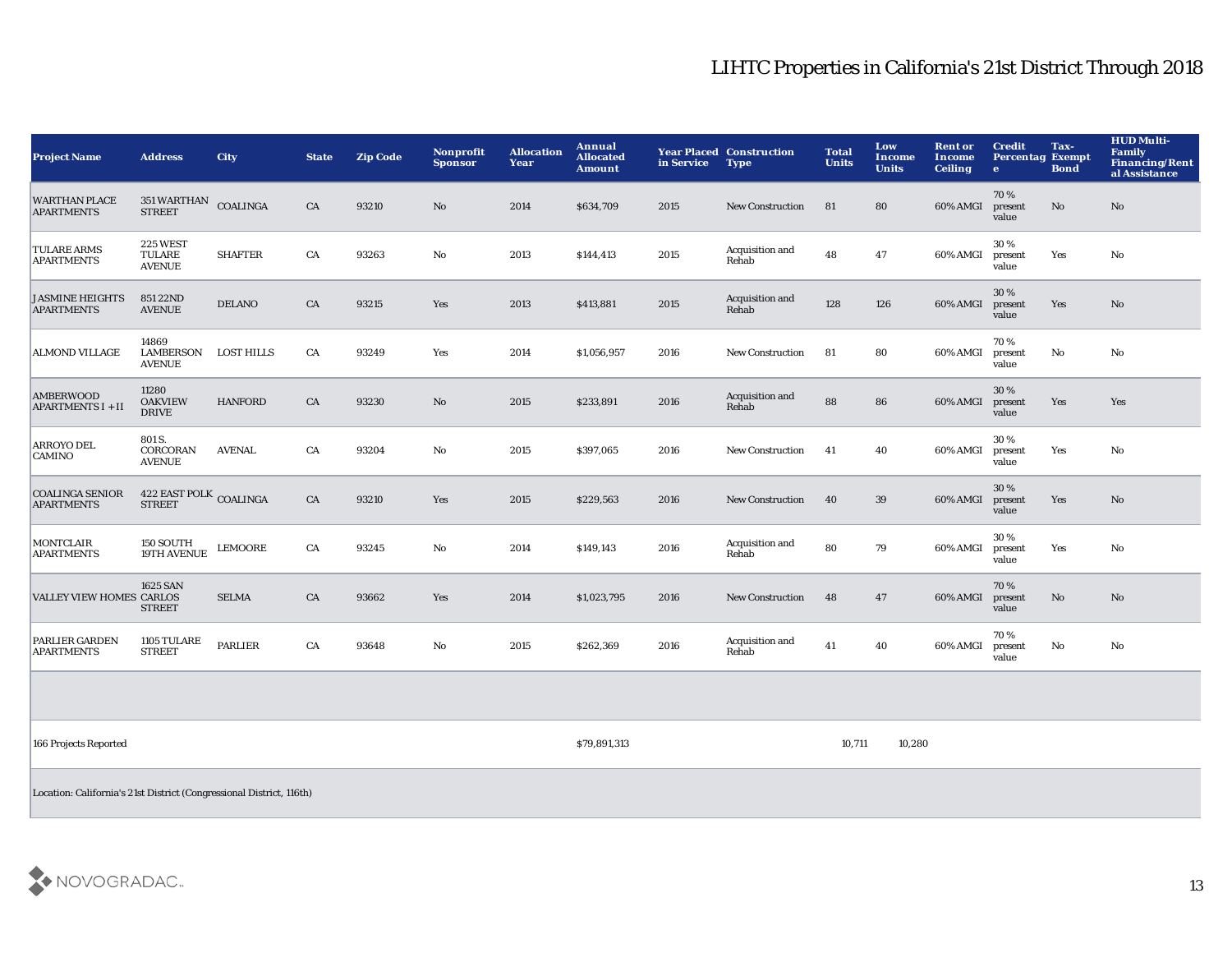| <b>Project Name</b>                                                  | <b>Address</b>                                    | City              | <b>State</b> | <b>Zip Code</b> | <b>Nonprofit</b><br><b>Sponsor</b> | <b>Allocation</b><br>Year | Annual<br><b>Allocated</b><br><b>Amount</b> | in Service | <b>Year Placed Construction</b><br><b>Type</b> | <b>Total</b><br><b>Units</b> | Low<br>Income<br><b>Units</b> | <b>Rent or</b><br><b>Income</b><br><b>Ceiling</b> | <b>Credit</b><br><b>Percentag Exempt</b><br>e | Tax-<br><b>Bond</b>    | <b>HUD Multi-</b><br>Family<br><b>Financing/Rent</b><br>al Assistance |
|----------------------------------------------------------------------|---------------------------------------------------|-------------------|--------------|-----------------|------------------------------------|---------------------------|---------------------------------------------|------------|------------------------------------------------|------------------------------|-------------------------------|---------------------------------------------------|-----------------------------------------------|------------------------|-----------------------------------------------------------------------|
| <b>WARTHAN PLACE</b><br><b>APARTMENTS</b>                            | 351 WARTHAN<br><b>STREET</b>                      | <b>COALINGA</b>   | CA           | 93210           | $\mathbf{N}\mathbf{o}$             | 2014                      | \$634,709                                   | 2015       | <b>New Construction</b>                        | 81                           | 80                            | 60% AMGI                                          | 70%<br>present<br>value                       | No                     | $\mathbf{N}\mathbf{o}$                                                |
| <b>TULARE ARMS</b><br><b>APARTMENTS</b>                              | <b>225 WEST</b><br><b>TULARE</b><br><b>AVENUE</b> | <b>SHAFTER</b>    | CA           | 93263           | No                                 | 2013                      | \$144,413                                   | 2015       | Acquisition and<br>Rehab                       | 48                           | 47                            | 60% AMGI                                          | 30%<br>present<br>value                       | Yes                    | No                                                                    |
| <b>JASMINE HEIGHTS</b><br><b>APARTMENTS</b>                          | 851 22ND<br><b>AVENUE</b>                         | <b>DELANO</b>     | CA           | 93215           | Yes                                | 2013                      | \$413,881                                   | 2015       | Acquisition and<br>Rehab                       | 128                          | 126                           | 60% AMGI                                          | 30 %<br>present<br>value                      | Yes                    | No                                                                    |
| <b>ALMOND VILLAGE</b>                                                | 14869<br>LAMBERSON<br><b>AVENUE</b>               | <b>LOST HILLS</b> | CA           | 93249           | Yes                                | 2014                      | \$1,056,957                                 | 2016       | New Construction                               | 81                           | 80                            | 60% AMGI                                          | 70%<br>present<br>value                       | $\rm No$               | $\mathbf {No}$                                                        |
| AMBERWOOD<br><b>APARTMENTS I + II</b>                                | 11280<br><b>OAKVIEW</b><br><b>DRIVE</b>           | <b>HANFORD</b>    | CA           | 93230           | No                                 | 2015                      | \$233,891                                   | 2016       | Acquisition and<br>Rehab                       | 88                           | 86                            | 60% AMGI                                          | 30%<br>present<br>value                       | Yes                    | Yes                                                                   |
| ARROYO DEL<br><b>CAMINO</b>                                          | 801 S.<br>CORCORAN<br><b>AVENUE</b>               | <b>AVENAL</b>     | CA           | 93204           | No                                 | 2015                      | \$397,065                                   | 2016       | <b>New Construction</b>                        | 41                           | 40                            | 60% AMGI                                          | 30%<br>present<br>value                       | Yes                    | No                                                                    |
| <b>COALINGA SENIOR</b><br><b>APARTMENTS</b>                          | 422 EAST POLK COALINGA<br><b>STREET</b>           |                   | ${\rm CA}$   | 93210           | Yes                                | 2015                      | \$229,563                                   | 2016       | <b>New Construction</b>                        | 40                           | 39                            | 60% AMGI                                          | 30%<br>present<br>value                       | Yes                    | $\mathbf{N}\mathbf{o}$                                                |
| <b>MONTCLAIR</b><br><b>APARTMENTS</b>                                | 150 SOUTH<br>19TH AVENUE                          | <b>LEMOORE</b>    | CA           | 93245           | $\mathbf{No}$                      | 2014                      | \$149,143                                   | 2016       | Acquisition and<br>Rehab                       | 80                           | 79                            | 60% AMGI                                          | 30%<br>present<br>value                       | Yes                    | No                                                                    |
| <b>VALLEY VIEW HOMES CARLOS</b>                                      | 1625 SAN<br><b>STREET</b>                         | <b>SELMA</b>      | CA           | 93662           | Yes                                | 2014                      | \$1,023,795                                 | 2016       | <b>New Construction</b>                        | 48                           | 47                            | 60% AMGI                                          | 70%<br>present<br>value                       | $\mathbf{N}\mathbf{o}$ | $\mathbf{N}\mathbf{o}$                                                |
| <b>PARLIER GARDEN</b><br><b>APARTMENTS</b>                           | 1105 TULARE<br><b>STREET</b>                      | PARLIER           | CA           | 93648           | $\rm No$                           | 2015                      | \$262,369                                   | 2016       | Acquisition and<br>Rehab                       | 41                           | 40                            | 60% AMGI                                          | 70%<br>present<br>value                       | No                     | $\mathbf{N}\mathbf{o}$                                                |
|                                                                      |                                                   |                   |              |                 |                                    |                           |                                             |            |                                                |                              |                               |                                                   |                                               |                        |                                                                       |
| 166 Projects Reported                                                |                                                   |                   |              |                 |                                    |                           | \$79,891,313                                |            |                                                | 10,711                       | 10,280                        |                                                   |                                               |                        |                                                                       |
| Location: California's 21st District (Congressional District, 116th) |                                                   |                   |              |                 |                                    |                           |                                             |            |                                                |                              |                               |                                                   |                                               |                        |                                                                       |